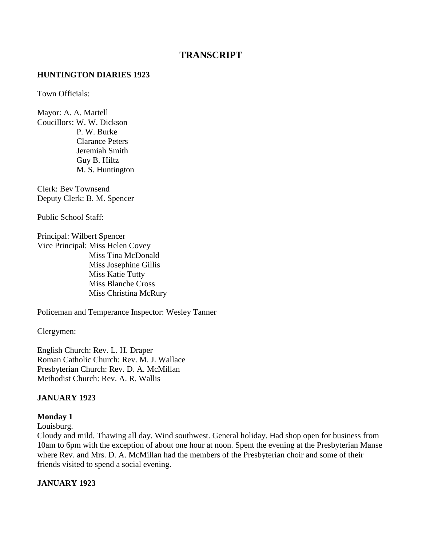# **TRANSCRIPT**

#### **HUNTINGTON DIARIES 1923**

Town Officials:

Mayor: A. A. Martell Coucillors: W. W. Dickson P. W. Burke Clarance Peters Jeremiah Smith Guy B. Hiltz M. S. Huntington

Clerk: Bev Townsend Deputy Clerk: B. M. Spencer

Public School Staff:

Principal: Wilbert Spencer Vice Principal: Miss Helen Covey Miss Tina McDonald Miss Josephine Gillis Miss Katie Tutty Miss Blanche Cross Miss Christina McRury

Policeman and Temperance Inspector: Wesley Tanner

Clergymen:

English Church: Rev. L. H. Draper Roman Catholic Church: Rev. M. J. Wallace Presbyterian Church: Rev. D. A. McMillan Methodist Church: Rev. A. R. Wallis

#### **JANUARY 1923**

#### **Monday 1**

Louisburg.

Cloudy and mild. Thawing all day. Wind southwest. General holiday. Had shop open for business from 10am to 6pm with the exception of about one hour at noon. Spent the evening at the Presbyterian Manse where Rev. and Mrs. D. A. McMillan had the members of the Presbyterian choir and some of their friends visited to spend a social evening.

#### **JANUARY 1923**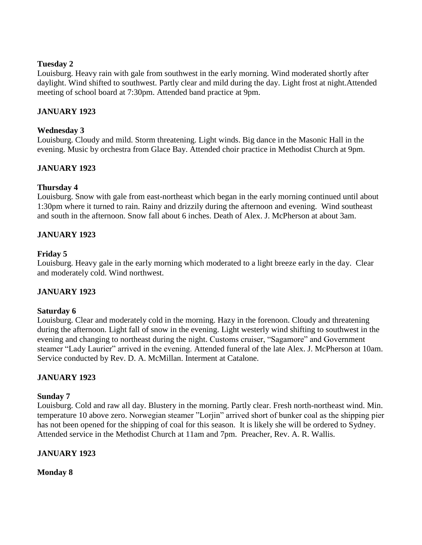### **Tuesday 2**

Louisburg. Heavy rain with gale from southwest in the early morning. Wind moderated shortly after daylight. Wind shifted to southwest. Partly clear and mild during the day. Light frost at night.Attended meeting of school board at 7:30pm. Attended band practice at 9pm.

## **JANUARY 1923**

### **Wednesday 3**

Louisburg. Cloudy and mild. Storm threatening. Light winds. Big dance in the Masonic Hall in the evening. Music by orchestra from Glace Bay. Attended choir practice in Methodist Church at 9pm.

## **JANUARY 1923**

### **Thursday 4**

Louisburg. Snow with gale from east-northeast which began in the early morning continued until about 1:30pm where it turned to rain. Rainy and drizzily during the afternoon and evening. Wind southeast and south in the afternoon. Snow fall about 6 inches. Death of Alex. J. McPherson at about 3am.

## **JANUARY 1923**

### **Friday 5**

Louisburg. Heavy gale in the early morning which moderated to a light breeze early in the day. Clear and moderately cold. Wind northwest.

### **JANUARY 1923**

### **Saturday 6**

Louisburg. Clear and moderately cold in the morning. Hazy in the forenoon. Cloudy and threatening during the afternoon. Light fall of snow in the evening. Light westerly wind shifting to southwest in the evening and changing to northeast during the night. Customs cruiser, "Sagamore" and Government steamer "Lady Laurier" arrived in the evening. Attended funeral of the late Alex. J. McPherson at 10am. Service conducted by Rev. D. A. McMillan. Interment at Catalone.

### **JANUARY 1923**

### **Sunday 7**

Louisburg. Cold and raw all day. Blustery in the morning. Partly clear. Fresh north-northeast wind. Min. temperature 10 above zero. Norwegian steamer "Lorjin" arrived short of bunker coal as the shipping pier has not been opened for the shipping of coal for this season. It is likely she will be ordered to Sydney. Attended service in the Methodist Church at 11am and 7pm. Preacher, Rev. A. R. Wallis.

### **JANUARY 1923**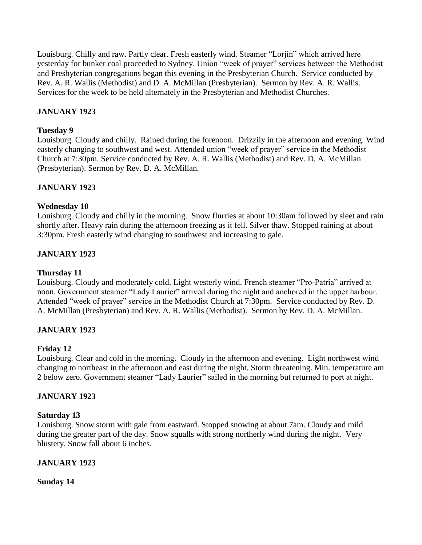Louisburg. Chilly and raw. Partly clear. Fresh easterly wind. Steamer "Lorjin" which arrived here yesterday for bunker coal proceeded to Sydney. Union "week of prayer" services between the Methodist and Presbyterian congregations began this evening in the Presbyterian Church. Service conducted by Rev. A. R. Wallis (Methodist) and D. A. McMillan (Presbyterian). Sermon by Rev. A. R. Wallis. Services for the week to be held alternately in the Presbyterian and Methodist Churches.

# **JANUARY 1923**

## **Tuesday 9**

Louisburg. Cloudy and chilly. Rained during the forenoon. Drizzily in the afternoon and evening. Wind easterly changing to southwest and west. Attended union "week of prayer" service in the Methodist Church at 7:30pm. Service conducted by Rev. A. R. Wallis (Methodist) and Rev. D. A. McMillan (Presbyterian). Sermon by Rev. D. A. McMillan.

# **JANUARY 1923**

## **Wednesday 10**

Louisburg. Cloudy and chilly in the morning. Snow flurries at about 10:30am followed by sleet and rain shortly after. Heavy rain during the afternoon freezing as it fell. Silver thaw. Stopped raining at about 3:30pm. Fresh easterly wind changing to southwest and increasing to gale.

# **JANUARY 1923**

## **Thursday 11**

Louisburg. Cloudy and moderately cold. Light westerly wind. French steamer "Pro-Patria" arrived at noon. Government steamer "Lady Laurier" arrived during the night and anchored in the upper harbour. Attended "week of prayer" service in the Methodist Church at 7:30pm. Service conducted by Rev. D. A. McMillan (Presbyterian) and Rev. A. R. Wallis (Methodist). Sermon by Rev. D. A. McMillan.

# **JANUARY 1923**

### **Friday 12**

Louisburg. Clear and cold in the morning. Cloudy in the afternoon and evening. Light northwest wind changing to northeast in the afternoon and east during the night. Storm threatening. Min. temperature am 2 below zero. Government steamer "Lady Laurier" sailed in the morning but returned to port at night.

### **JANUARY 1923**

### **Saturday 13**

Louisburg. Snow storm with gale from eastward. Stopped snowing at about 7am. Cloudy and mild during the greater part of the day. Snow squalls with strong northerly wind during the night. Very blustery. Snow fall about 6 inches.

### **JANUARY 1923**

**Sunday 14**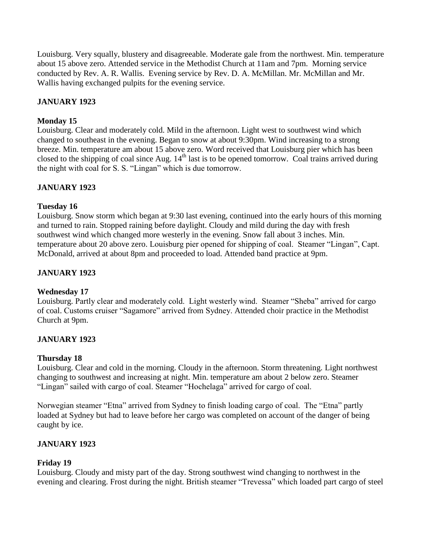Louisburg. Very squally, blustery and disagreeable. Moderate gale from the northwest. Min. temperature about 15 above zero. Attended service in the Methodist Church at 11am and 7pm. Morning service conducted by Rev. A. R. Wallis. Evening service by Rev. D. A. McMillan. Mr. McMillan and Mr. Wallis having exchanged pulpits for the evening service.

# **JANUARY 1923**

## **Monday 15**

Louisburg. Clear and moderately cold. Mild in the afternoon. Light west to southwest wind which changed to southeast in the evening. Began to snow at about 9:30pm. Wind increasing to a strong breeze. Min. temperature am about 15 above zero. Word received that Louisburg pier which has been closed to the shipping of coal since Aug.  $14<sup>th</sup>$  last is to be opened tomorrow. Coal trains arrived during the night with coal for S. S. "Lingan" which is due tomorrow.

# **JANUARY 1923**

## **Tuesday 16**

Louisburg. Snow storm which began at 9:30 last evening, continued into the early hours of this morning and turned to rain. Stopped raining before daylight. Cloudy and mild during the day with fresh southwest wind which changed more westerly in the evening. Snow fall about 3 inches. Min. temperature about 20 above zero. Louisburg pier opened for shipping of coal. Steamer "Lingan", Capt. McDonald, arrived at about 8pm and proceeded to load. Attended band practice at 9pm.

## **JANUARY 1923**

### **Wednesday 17**

Louisburg. Partly clear and moderately cold. Light westerly wind. Steamer "Sheba" arrived for cargo of coal. Customs cruiser "Sagamore" arrived from Sydney. Attended choir practice in the Methodist Church at 9pm.

### **JANUARY 1923**

### **Thursday 18**

Louisburg. Clear and cold in the morning. Cloudy in the afternoon. Storm threatening. Light northwest changing to southwest and increasing at night. Min. temperature am about 2 below zero. Steamer "Lingan" sailed with cargo of coal. Steamer "Hochelaga" arrived for cargo of coal.

Norwegian steamer "Etna" arrived from Sydney to finish loading cargo of coal. The "Etna" partly loaded at Sydney but had to leave before her cargo was completed on account of the danger of being caught by ice.

# **JANUARY 1923**

### **Friday 19**

Louisburg. Cloudy and misty part of the day. Strong southwest wind changing to northwest in the evening and clearing. Frost during the night. British steamer "Trevessa" which loaded part cargo of steel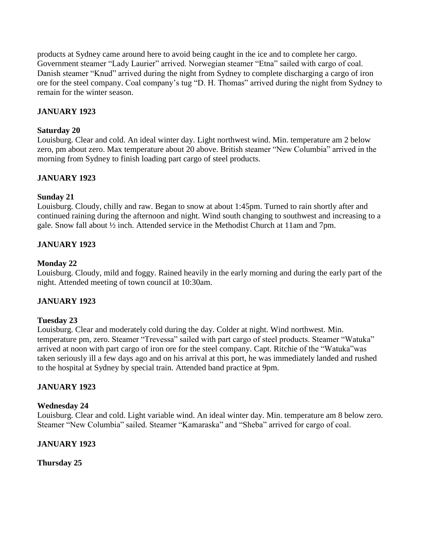products at Sydney came around here to avoid being caught in the ice and to complete her cargo. Government steamer "Lady Laurier" arrived. Norwegian steamer "Etna" sailed with cargo of coal. Danish steamer "Knud" arrived during the night from Sydney to complete discharging a cargo of iron ore for the steel company. Coal company's tug "D. H. Thomas" arrived during the night from Sydney to remain for the winter season.

# **JANUARY 1923**

## **Saturday 20**

Louisburg. Clear and cold. An ideal winter day. Light northwest wind. Min. temperature am 2 below zero, pm about zero. Max temperature about 20 above. British steamer "New Columbia" arrived in the morning from Sydney to finish loading part cargo of steel products.

# **JANUARY 1923**

## **Sunday 21**

Louisburg. Cloudy, chilly and raw. Began to snow at about 1:45pm. Turned to rain shortly after and continued raining during the afternoon and night. Wind south changing to southwest and increasing to a gale. Snow fall about ½ inch. Attended service in the Methodist Church at 11am and 7pm.

# **JANUARY 1923**

### **Monday 22**

Louisburg. Cloudy, mild and foggy. Rained heavily in the early morning and during the early part of the night. Attended meeting of town council at 10:30am.

# **JANUARY 1923**

### **Tuesday 23**

Louisburg. Clear and moderately cold during the day. Colder at night. Wind northwest. Min. temperature pm, zero. Steamer "Trevessa" sailed with part cargo of steel products. Steamer "Watuka" arrived at noon with part cargo of iron ore for the steel company. Capt. Ritchie of the "Watuka"was taken seriously ill a few days ago and on his arrival at this port, he was immediately landed and rushed to the hospital at Sydney by special train. Attended band practice at 9pm.

# **JANUARY 1923**

### **Wednesday 24**

Louisburg. Clear and cold. Light variable wind. An ideal winter day. Min. temperature am 8 below zero. Steamer "New Columbia" sailed. Steamer "Kamaraska" and "Sheba" arrived for cargo of coal.

# **JANUARY 1923**

### **Thursday 25**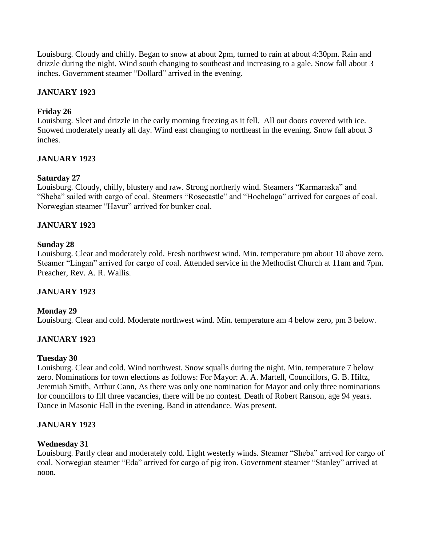Louisburg. Cloudy and chilly. Began to snow at about 2pm, turned to rain at about 4:30pm. Rain and drizzle during the night. Wind south changing to southeast and increasing to a gale. Snow fall about 3 inches. Government steamer "Dollard" arrived in the evening.

# **JANUARY 1923**

# **Friday 26**

Louisburg. Sleet and drizzle in the early morning freezing as it fell. All out doors covered with ice. Snowed moderately nearly all day. Wind east changing to northeast in the evening. Snow fall about 3 inches.

# **JANUARY 1923**

# **Saturday 27**

Louisburg. Cloudy, chilly, blustery and raw. Strong northerly wind. Steamers "Karmaraska" and "Sheba" sailed with cargo of coal. Steamers "Rosecastle" and "Hochelaga" arrived for cargoes of coal. Norwegian steamer "Havur" arrived for bunker coal.

# **JANUARY 1923**

# **Sunday 28**

Louisburg. Clear and moderately cold. Fresh northwest wind. Min. temperature pm about 10 above zero. Steamer "Lingan" arrived for cargo of coal. Attended service in the Methodist Church at 11am and 7pm. Preacher, Rev. A. R. Wallis.

# **JANUARY 1923**

# **Monday 29**

Louisburg. Clear and cold. Moderate northwest wind. Min. temperature am 4 below zero, pm 3 below.

# **JANUARY 1923**

### **Tuesday 30**

Louisburg. Clear and cold. Wind northwest. Snow squalls during the night. Min. temperature 7 below zero. Nominations for town elections as follows: For Mayor: A. A. Martell, Councillors, G. B. Hiltz, Jeremiah Smith, Arthur Cann, As there was only one nomination for Mayor and only three nominations for councillors to fill three vacancies, there will be no contest. Death of Robert Ranson, age 94 years. Dance in Masonic Hall in the evening. Band in attendance. Was present.

# **JANUARY 1923**

# **Wednesday 31**

Louisburg. Partly clear and moderately cold. Light westerly winds. Steamer "Sheba" arrived for cargo of coal. Norwegian steamer "Eda" arrived for cargo of pig iron. Government steamer "Stanley" arrived at noon.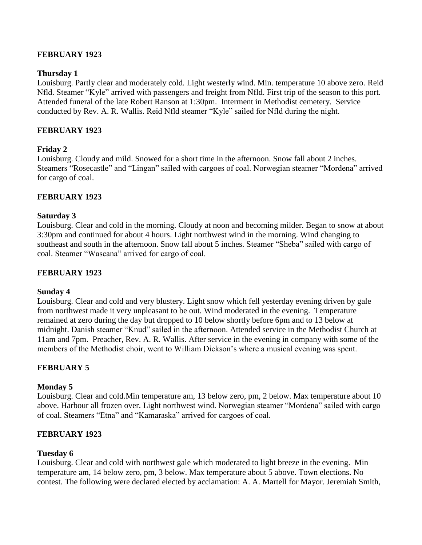## **FEBRUARY 1923**

### **Thursday 1**

Louisburg. Partly clear and moderately cold. Light westerly wind. Min. temperature 10 above zero. Reid Nfld. Steamer "Kyle" arrived with passengers and freight from Nfld. First trip of the season to this port. Attended funeral of the late Robert Ranson at 1:30pm. Interment in Methodist cemetery. Service conducted by Rev. A. R. Wallis. Reid Nfld steamer "Kyle" sailed for Nfld during the night.

### **FEBRUARY 1923**

### **Friday 2**

Louisburg. Cloudy and mild. Snowed for a short time in the afternoon. Snow fall about 2 inches. Steamers "Rosecastle" and "Lingan" sailed with cargoes of coal. Norwegian steamer "Mordena" arrived for cargo of coal.

### **FEBRUARY 1923**

#### **Saturday 3**

Louisburg. Clear and cold in the morning. Cloudy at noon and becoming milder. Began to snow at about 3:30pm and continued for about 4 hours. Light northwest wind in the morning. Wind changing to southeast and south in the afternoon. Snow fall about 5 inches. Steamer "Sheba" sailed with cargo of coal. Steamer "Wascana" arrived for cargo of coal.

#### **FEBRUARY 1923**

#### **Sunday 4**

Louisburg. Clear and cold and very blustery. Light snow which fell yesterday evening driven by gale from northwest made it very unpleasant to be out. Wind moderated in the evening. Temperature remained at zero during the day but dropped to 10 below shortly before 6pm and to 13 below at midnight. Danish steamer "Knud" sailed in the afternoon. Attended service in the Methodist Church at 11am and 7pm. Preacher, Rev. A. R. Wallis. After service in the evening in company with some of the members of the Methodist choir, went to William Dickson's where a musical evening was spent.

#### **FEBRUARY 5**

#### **Monday 5**

Louisburg. Clear and cold.Min temperature am, 13 below zero, pm, 2 below. Max temperature about 10 above. Harbour all frozen over. Light northwest wind. Norwegian steamer "Mordena" sailed with cargo of coal. Steamers "Etna" and "Kamaraska" arrived for cargoes of coal.

#### **FEBRUARY 1923**

#### **Tuesday 6**

Louisburg. Clear and cold with northwest gale which moderated to light breeze in the evening. Min temperature am, 14 below zero, pm, 3 below. Max temperature about 5 above. Town elections. No contest. The following were declared elected by acclamation: A. A. Martell for Mayor. Jeremiah Smith,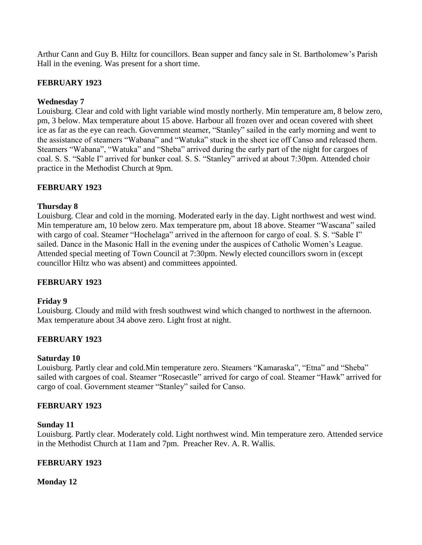Arthur Cann and Guy B. Hiltz for councillors. Bean supper and fancy sale in St. Bartholomew's Parish Hall in the evening. Was present for a short time.

## **FEBRUARY 1923**

## **Wednesday 7**

Louisburg. Clear and cold with light variable wind mostly northerly. Min temperature am, 8 below zero, pm, 3 below. Max temperature about 15 above. Harbour all frozen over and ocean covered with sheet ice as far as the eye can reach. Government steamer, "Stanley" sailed in the early morning and went to the assistance of steamers "Wabana" and "Watuka" stuck in the sheet ice off Canso and released them. Steamers "Wabana", "Watuka" and "Sheba" arrived during the early part of the night for cargoes of coal. S. S. "Sable I" arrived for bunker coal. S. S. "Stanley" arrived at about 7:30pm. Attended choir practice in the Methodist Church at 9pm.

# **FEBRUARY 1923**

### **Thursday 8**

Louisburg. Clear and cold in the morning. Moderated early in the day. Light northwest and west wind. Min temperature am, 10 below zero. Max temperature pm, about 18 above. Steamer "Wascana" sailed with cargo of coal. Steamer "Hochelaga" arrived in the afternoon for cargo of coal. S. S. "Sable I" sailed. Dance in the Masonic Hall in the evening under the auspices of Catholic Women's League. Attended special meeting of Town Council at 7:30pm. Newly elected councillors sworn in (except councillor Hiltz who was absent) and committees appointed.

### **FEBRUARY 1923**

### **Friday 9**

Louisburg. Cloudy and mild with fresh southwest wind which changed to northwest in the afternoon. Max temperature about 34 above zero. Light frost at night.

### **FEBRUARY 1923**

#### **Saturday 10**

Louisburg. Partly clear and cold.Min temperature zero. Steamers "Kamaraska", "Etna" and "Sheba" sailed with cargoes of coal. Steamer "Rosecastle" arrived for cargo of coal. Steamer "Hawk" arrived for cargo of coal. Government steamer "Stanley" sailed for Canso.

### **FEBRUARY 1923**

#### **Sunday 11**

Louisburg. Partly clear. Moderately cold. Light northwest wind. Min temperature zero. Attended service in the Methodist Church at 11am and 7pm. Preacher Rev. A. R. Wallis.

### **FEBRUARY 1923**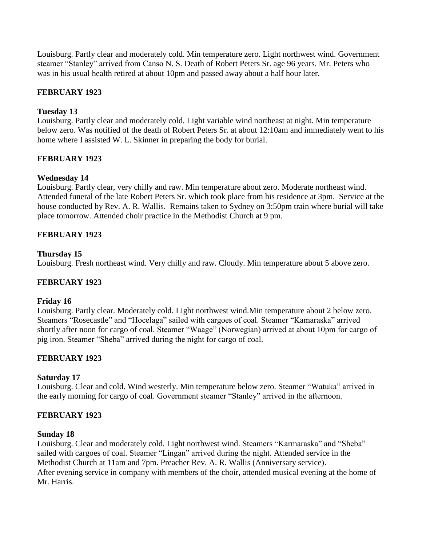Louisburg. Partly clear and moderately cold. Min temperature zero. Light northwest wind. Government steamer "Stanley" arrived from Canso N. S. Death of Robert Peters Sr. age 96 years. Mr. Peters who was in his usual health retired at about 10pm and passed away about a half hour later.

# **FEBRUARY 1923**

## **Tuesday 13**

Louisburg. Partly clear and moderately cold. Light variable wind northeast at night. Min temperature below zero. Was notified of the death of Robert Peters Sr. at about 12:10am and immediately went to his home where I assisted W. L. Skinner in preparing the body for burial.

## **FEBRUARY 1923**

## **Wednesday 14**

Louisburg. Partly clear, very chilly and raw. Min temperature about zero. Moderate northeast wind. Attended funeral of the late Robert Peters Sr. which took place from his residence at 3pm. Service at the house conducted by Rev. A. R. Wallis. Remains taken to Sydney on 3:50pm train where burial will take place tomorrow. Attended choir practice in the Methodist Church at 9 pm.

## **FEBRUARY 1923**

### **Thursday 15**

Louisburg. Fresh northeast wind. Very chilly and raw. Cloudy. Min temperature about 5 above zero.

### **FEBRUARY 1923**

### **Friday 16**

Louisburg. Partly clear. Moderately cold. Light northwest wind.Min temperature about 2 below zero. Steamers "Rosecastle" and "Hocelaga" sailed with cargoes of coal. Steamer "Kamaraska" arrived shortly after noon for cargo of coal. Steamer "Waage" (Norwegian) arrived at about 10pm for cargo of pig iron. Steamer "Sheba" arrived during the night for cargo of coal.

### **FEBRUARY 1923**

### **Saturday 17**

Louisburg. Clear and cold. Wind westerly. Min temperature below zero. Steamer "Watuka" arrived in the early morning for cargo of coal. Government steamer "Stanley" arrived in the afternoon.

### **FEBRUARY 1923**

#### **Sunday 18**

Louisburg. Clear and moderately cold. Light northwest wind. Steamers "Karmaraska" and "Sheba" sailed with cargoes of coal. Steamer "Lingan" arrived during the night. Attended service in the Methodist Church at 11am and 7pm. Preacher Rev. A. R. Wallis (Anniversary service). After evening service in company with members of the choir, attended musical evening at the home of Mr. Harris.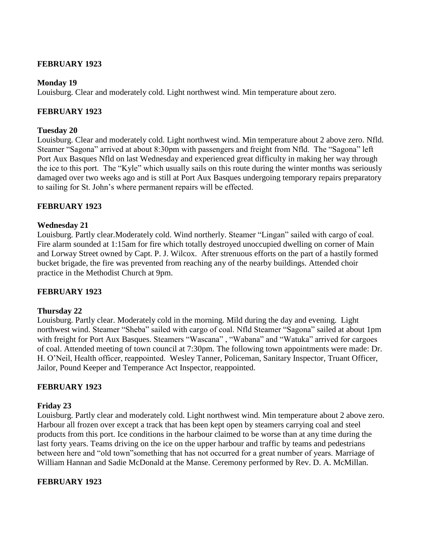## **FEBRUARY 1923**

#### **Monday 19**

Louisburg. Clear and moderately cold. Light northwest wind. Min temperature about zero.

#### **FEBRUARY 1923**

#### **Tuesday 20**

Louisburg. Clear and moderately cold. Light northwest wind. Min temperature about 2 above zero. Nfld. Steamer "Sagona" arrived at about 8:30pm with passengers and freight from Nfld. The "Sagona" left Port Aux Basques Nfld on last Wednesday and experienced great difficulty in making her way through the ice to this port. The "Kyle" which usually sails on this route during the winter months was seriously damaged over two weeks ago and is still at Port Aux Basques undergoing temporary repairs preparatory to sailing for St. John's where permanent repairs will be effected.

### **FEBRUARY 1923**

#### **Wednesday 21**

Louisburg. Partly clear.Moderately cold. Wind northerly. Steamer "Lingan" sailed with cargo of coal. Fire alarm sounded at 1:15am for fire which totally destroyed unoccupied dwelling on corner of Main and Lorway Street owned by Capt. P. J. Wilcox. After strenuous efforts on the part of a hastily formed bucket brigade, the fire was prevented from reaching any of the nearby buildings. Attended choir practice in the Methodist Church at 9pm.

### **FEBRUARY 1923**

#### **Thursday 22**

Louisburg. Partly clear. Moderately cold in the morning. Mild during the day and evening. Light northwest wind. Steamer "Sheba" sailed with cargo of coal. Nfld Steamer "Sagona" sailed at about 1pm with freight for Port Aux Basques. Steamers "Wascana", "Wabana" and "Watuka" arrived for cargoes of coal. Attended meeting of town council at 7:30pm. The following town appointments were made: Dr. H. O'Neil, Health officer, reappointed. Wesley Tanner, Policeman, Sanitary Inspector, Truant Officer, Jailor, Pound Keeper and Temperance Act Inspector, reappointed.

#### **FEBRUARY 1923**

#### **Friday 23**

Louisburg. Partly clear and moderately cold. Light northwest wind. Min temperature about 2 above zero. Harbour all frozen over except a track that has been kept open by steamers carrying coal and steel products from this port. Ice conditions in the harbour claimed to be worse than at any time during the last forty years. Teams driving on the ice on the upper harbour and traffic by teams and pedestrians between here and "old town"something that has not occurred for a great number of years. Marriage of William Hannan and Sadie McDonald at the Manse. Ceremony performed by Rev. D. A. McMillan.

#### **FEBRUARY 1923**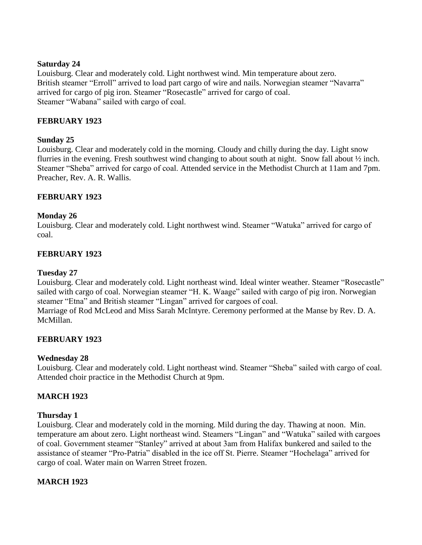### **Saturday 24**

Louisburg. Clear and moderately cold. Light northwest wind. Min temperature about zero. British steamer "Erroll" arrived to load part cargo of wire and nails. Norwegian steamer "Navarra" arrived for cargo of pig iron. Steamer "Rosecastle" arrived for cargo of coal. Steamer "Wabana" sailed with cargo of coal.

# **FEBRUARY 1923**

# **Sunday 25**

Louisburg. Clear and moderately cold in the morning. Cloudy and chilly during the day. Light snow flurries in the evening. Fresh southwest wind changing to about south at night. Snow fall about ½ inch. Steamer "Sheba" arrived for cargo of coal. Attended service in the Methodist Church at 11am and 7pm. Preacher, Rev. A. R. Wallis.

# **FEBRUARY 1923**

# **Monday 26**

Louisburg. Clear and moderately cold. Light northwest wind. Steamer "Watuka" arrived for cargo of coal.

# **FEBRUARY 1923**

# **Tuesday 27**

Louisburg. Clear and moderately cold. Light northeast wind. Ideal winter weather. Steamer "Rosecastle" sailed with cargo of coal. Norwegian steamer "H. K. Waage" sailed with cargo of pig iron. Norwegian steamer "Etna" and British steamer "Lingan" arrived for cargoes of coal. Marriage of Rod McLeod and Miss Sarah McIntyre. Ceremony performed at the Manse by Rev. D. A. McMillan.

# **FEBRUARY 1923**

# **Wednesday 28**

Louisburg. Clear and moderately cold. Light northeast wind. Steamer "Sheba" sailed with cargo of coal. Attended choir practice in the Methodist Church at 9pm.

# **MARCH 1923**

### **Thursday 1**

Louisburg. Clear and moderately cold in the morning. Mild during the day. Thawing at noon. Min. temperature am about zero. Light northeast wind. Steamers "Lingan" and "Watuka" sailed with cargoes of coal. Government steamer "Stanley" arrived at about 3am from Halifax bunkered and sailed to the assistance of steamer "Pro-Patria" disabled in the ice off St. Pierre. Steamer "Hochelaga" arrived for cargo of coal. Water main on Warren Street frozen.

# **MARCH 1923**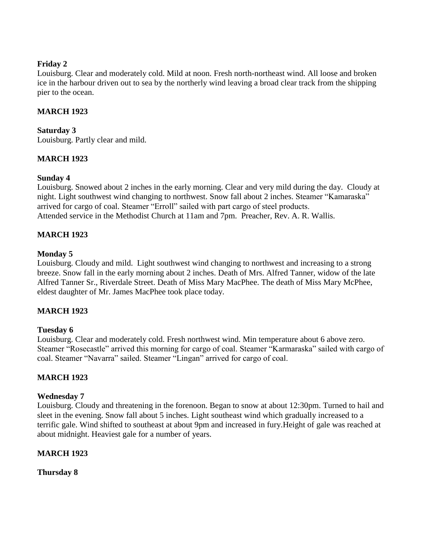## **Friday 2**

Louisburg. Clear and moderately cold. Mild at noon. Fresh north-northeast wind. All loose and broken ice in the harbour driven out to sea by the northerly wind leaving a broad clear track from the shipping pier to the ocean.

# **MARCH 1923**

### **Saturday 3**

Louisburg. Partly clear and mild.

# **MARCH 1923**

## **Sunday 4**

Louisburg. Snowed about 2 inches in the early morning. Clear and very mild during the day. Cloudy at night. Light southwest wind changing to northwest. Snow fall about 2 inches. Steamer "Kamaraska" arrived for cargo of coal. Steamer "Erroll" sailed with part cargo of steel products. Attended service in the Methodist Church at 11am and 7pm. Preacher, Rev. A. R. Wallis.

# **MARCH 1923**

### **Monday 5**

Louisburg. Cloudy and mild. Light southwest wind changing to northwest and increasing to a strong breeze. Snow fall in the early morning about 2 inches. Death of Mrs. Alfred Tanner, widow of the late Alfred Tanner Sr., Riverdale Street. Death of Miss Mary MacPhee. The death of Miss Mary McPhee, eldest daughter of Mr. James MacPhee took place today.

### **MARCH 1923**

### **Tuesday 6**

Louisburg. Clear and moderately cold. Fresh northwest wind. Min temperature about 6 above zero. Steamer "Rosecastle" arrived this morning for cargo of coal. Steamer "Karmaraska" sailed with cargo of coal. Steamer "Navarra" sailed. Steamer "Lingan" arrived for cargo of coal.

### **MARCH 1923**

### **Wednesday 7**

Louisburg. Cloudy and threatening in the forenoon. Began to snow at about 12:30pm. Turned to hail and sleet in the evening. Snow fall about 5 inches. Light southeast wind which gradually increased to a terrific gale. Wind shifted to southeast at about 9pm and increased in fury.Height of gale was reached at about midnight. Heaviest gale for a number of years.

### **MARCH 1923**

**Thursday 8**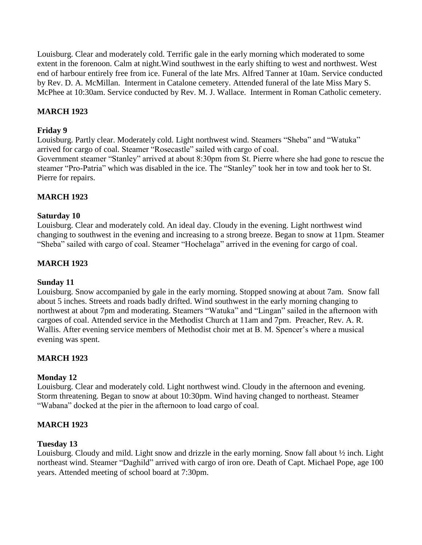Louisburg. Clear and moderately cold. Terrific gale in the early morning which moderated to some extent in the forenoon. Calm at night.Wind southwest in the early shifting to west and northwest. West end of harbour entirely free from ice. Funeral of the late Mrs. Alfred Tanner at 10am. Service conducted by Rev. D. A. McMillan. Interment in Catalone cemetery. Attended funeral of the late Miss Mary S. McPhee at 10:30am. Service conducted by Rev. M. J. Wallace. Interment in Roman Catholic cemetery.

# **MARCH 1923**

## **Friday 9**

Louisburg. Partly clear. Moderately cold. Light northwest wind. Steamers "Sheba" and "Watuka" arrived for cargo of coal. Steamer "Rosecastle" sailed with cargo of coal.

Government steamer "Stanley" arrived at about 8:30pm from St. Pierre where she had gone to rescue the steamer "Pro-Patria" which was disabled in the ice. The "Stanley" took her in tow and took her to St. Pierre for repairs.

## **MARCH 1923**

## **Saturday 10**

Louisburg. Clear and moderately cold. An ideal day. Cloudy in the evening. Light northwest wind changing to southwest in the evening and increasing to a strong breeze. Began to snow at 11pm. Steamer "Sheba" sailed with cargo of coal. Steamer "Hochelaga" arrived in the evening for cargo of coal.

## **MARCH 1923**

### **Sunday 11**

Louisburg. Snow accompanied by gale in the early morning. Stopped snowing at about 7am. Snow fall about 5 inches. Streets and roads badly drifted. Wind southwest in the early morning changing to northwest at about 7pm and moderating. Steamers "Watuka" and "Lingan" sailed in the afternoon with cargoes of coal. Attended service in the Methodist Church at 11am and 7pm. Preacher, Rev. A. R. Wallis. After evening service members of Methodist choir met at B. M. Spencer's where a musical evening was spent.

# **MARCH 1923**

### **Monday 12**

Louisburg. Clear and moderately cold. Light northwest wind. Cloudy in the afternoon and evening. Storm threatening. Began to snow at about 10:30pm. Wind having changed to northeast. Steamer "Wabana" docked at the pier in the afternoon to load cargo of coal.

### **MARCH 1923**

### **Tuesday 13**

Louisburg. Cloudy and mild. Light snow and drizzle in the early morning. Snow fall about ½ inch. Light northeast wind. Steamer "Daghild" arrived with cargo of iron ore. Death of Capt. Michael Pope, age 100 years. Attended meeting of school board at 7:30pm.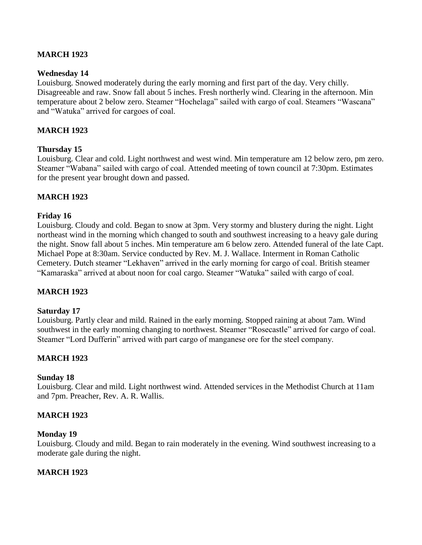## **MARCH 1923**

### **Wednesday 14**

Louisburg. Snowed moderately during the early morning and first part of the day. Very chilly. Disagreeable and raw. Snow fall about 5 inches. Fresh northerly wind. Clearing in the afternoon. Min temperature about 2 below zero. Steamer "Hochelaga" sailed with cargo of coal. Steamers "Wascana" and "Watuka" arrived for cargoes of coal.

### **MARCH 1923**

#### **Thursday 15**

Louisburg. Clear and cold. Light northwest and west wind. Min temperature am 12 below zero, pm zero. Steamer "Wabana" sailed with cargo of coal. Attended meeting of town council at 7:30pm. Estimates for the present year brought down and passed.

#### **MARCH 1923**

#### **Friday 16**

Louisburg. Cloudy and cold. Began to snow at 3pm. Very stormy and blustery during the night. Light northeast wind in the morning which changed to south and southwest increasing to a heavy gale during the night. Snow fall about 5 inches. Min temperature am 6 below zero. Attended funeral of the late Capt. Michael Pope at 8:30am. Service conducted by Rev. M. J. Wallace. Interment in Roman Catholic Cemetery. Dutch steamer "Lekhaven" arrived in the early morning for cargo of coal. British steamer "Kamaraska" arrived at about noon for coal cargo. Steamer "Watuka" sailed with cargo of coal.

### **MARCH 1923**

#### **Saturday 17**

Louisburg. Partly clear and mild. Rained in the early morning. Stopped raining at about 7am. Wind southwest in the early morning changing to northwest. Steamer "Rosecastle" arrived for cargo of coal. Steamer "Lord Dufferin" arrived with part cargo of manganese ore for the steel company.

### **MARCH 1923**

#### **Sunday 18**

Louisburg. Clear and mild. Light northwest wind. Attended services in the Methodist Church at 11am and 7pm. Preacher, Rev. A. R. Wallis.

#### **MARCH 1923**

#### **Monday 19**

Louisburg. Cloudy and mild. Began to rain moderately in the evening. Wind southwest increasing to a moderate gale during the night.

### **MARCH 1923**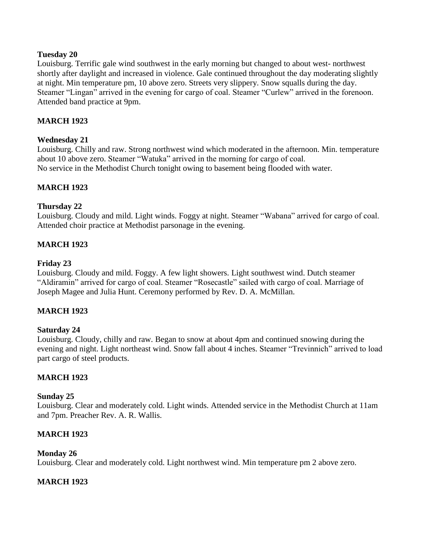### **Tuesday 20**

Louisburg. Terrific gale wind southwest in the early morning but changed to about west- northwest shortly after daylight and increased in violence. Gale continued throughout the day moderating slightly at night. Min temperature pm, 10 above zero. Streets very slippery. Snow squalls during the day. Steamer "Lingan" arrived in the evening for cargo of coal. Steamer "Curlew" arrived in the forenoon. Attended band practice at 9pm.

## **MARCH 1923**

### **Wednesday 21**

Louisburg. Chilly and raw. Strong northwest wind which moderated in the afternoon. Min. temperature about 10 above zero. Steamer "Watuka" arrived in the morning for cargo of coal. No service in the Methodist Church tonight owing to basement being flooded with water.

## **MARCH 1923**

### **Thursday 22**

Louisburg. Cloudy and mild. Light winds. Foggy at night. Steamer "Wabana" arrived for cargo of coal. Attended choir practice at Methodist parsonage in the evening.

## **MARCH 1923**

### **Friday 23**

Louisburg. Cloudy and mild. Foggy. A few light showers. Light southwest wind. Dutch steamer "Aldiramin" arrived for cargo of coal. Steamer "Rosecastle" sailed with cargo of coal. Marriage of Joseph Magee and Julia Hunt. Ceremony performed by Rev. D. A. McMillan.

### **MARCH 1923**

### **Saturday 24**

Louisburg. Cloudy, chilly and raw. Began to snow at about 4pm and continued snowing during the evening and night. Light northeast wind. Snow fall about 4 inches. Steamer "Trevinnich" arrived to load part cargo of steel products.

### **MARCH 1923**

### **Sunday 25**

Louisburg. Clear and moderately cold. Light winds. Attended service in the Methodist Church at 11am and 7pm. Preacher Rev. A. R. Wallis.

### **MARCH 1923**

### **Monday 26**

Louisburg. Clear and moderately cold. Light northwest wind. Min temperature pm 2 above zero.

### **MARCH 1923**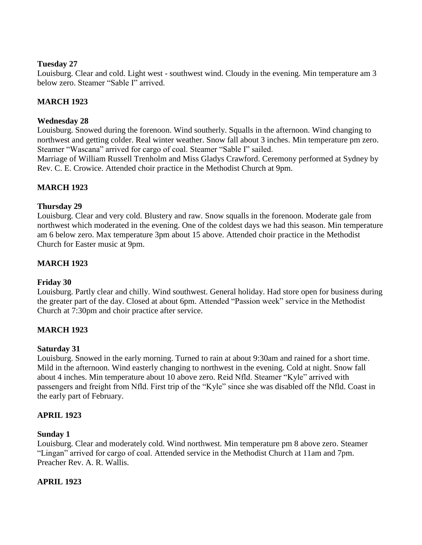## **Tuesday 27**

Louisburg. Clear and cold. Light west - southwest wind. Cloudy in the evening. Min temperature am 3 below zero. Steamer "Sable I" arrived.

# **MARCH 1923**

## **Wednesday 28**

Louisburg. Snowed during the forenoon. Wind southerly. Squalls in the afternoon. Wind changing to northwest and getting colder. Real winter weather. Snow fall about 3 inches. Min temperature pm zero. Steamer "Wascana" arrived for cargo of coal. Steamer "Sable I" sailed.

Marriage of William Russell Trenholm and Miss Gladys Crawford. Ceremony performed at Sydney by Rev. C. E. Crowice. Attended choir practice in the Methodist Church at 9pm.

# **MARCH 1923**

# **Thursday 29**

Louisburg. Clear and very cold. Blustery and raw. Snow squalls in the forenoon. Moderate gale from northwest which moderated in the evening. One of the coldest days we had this season. Min temperature am 6 below zero. Max temperature 3pm about 15 above. Attended choir practice in the Methodist Church for Easter music at 9pm.

# **MARCH 1923**

# **Friday 30**

Louisburg. Partly clear and chilly. Wind southwest. General holiday. Had store open for business during the greater part of the day. Closed at about 6pm. Attended "Passion week" service in the Methodist Church at 7:30pm and choir practice after service.

# **MARCH 1923**

### **Saturday 31**

Louisburg. Snowed in the early morning. Turned to rain at about 9:30am and rained for a short time. Mild in the afternoon. Wind easterly changing to northwest in the evening. Cold at night. Snow fall about 4 inches. Min temperature about 10 above zero. Reid Nfld. Steamer "Kyle" arrived with passengers and freight from Nfld. First trip of the "Kyle" since she was disabled off the Nfld. Coast in the early part of February.

### **APRIL 1923**

### **Sunday 1**

Louisburg. Clear and moderately cold. Wind northwest. Min temperature pm 8 above zero. Steamer "Lingan" arrived for cargo of coal. Attended service in the Methodist Church at 11am and 7pm. Preacher Rev. A. R. Wallis.

# **APRIL 1923**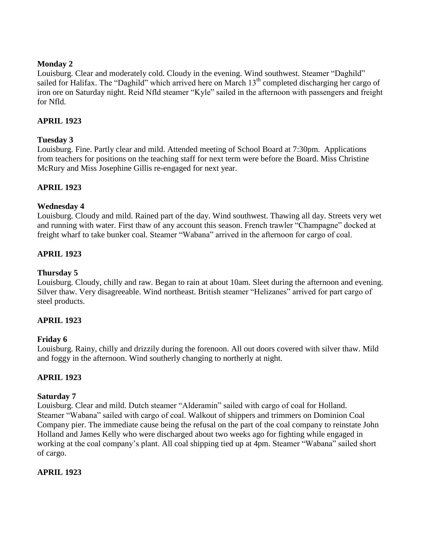## **Monday 2**

Louisburg. Clear and moderately cold. Cloudy in the evening. Wind southwest. Steamer "Daghild" sailed for Halifax. The "Daghild" which arrived here on March 13<sup>th</sup> completed discharging her cargo of iron ore on Saturday night. Reid Nfld steamer "Kyle" sailed in the afternoon with passengers and freight for Nfld.

# **APRIL 1923**

## **Tuesday 3**

Louisburg. Fine. Partly clear and mild. Attended meeting of School Board at 7:30pm. Applications from teachers for positions on the teaching staff for next term were before the Board. Miss Christine McRury and Miss Josephine Gillis re-engaged for next year.

# **APRIL 1923**

## **Wednesday 4**

Louisburg. Cloudy and mild. Rained part of the day. Wind southwest. Thawing all day. Streets very wet and running with water. First thaw of any account this season. French trawler "Champagne" docked at freight wharf to take bunker coal. Steamer "Wabana" arrived in the afternoon for cargo of coal.

## **APRIL 1923**

## **Thursday 5**

Louisburg. Cloudy, chilly and raw. Began to rain at about 10am. Sleet during the afternoon and evening. Silver thaw. Very disagreeable. Wind northeast. British steamer "Helizanes" arrived for part cargo of steel products.

### **APRIL 1923**

### **Friday 6**

Louisburg. Rainy, chilly and drizzily during the forenoon. All out doors covered with silver thaw. Mild and foggy in the afternoon. Wind southerly changing to northerly at night.

### **APRIL 1923**

### **Saturday 7**

Louisburg. Clear and mild. Dutch steamer "Alderamin" sailed with cargo of coal for Holland. Steamer "Wabana" sailed with cargo of coal. Walkout of shippers and trimmers on Dominion Coal Company pier. The immediate cause being the refusal on the part of the coal company to reinstate John Holland and James Kelly who were discharged about two weeks ago for fighting while engaged in working at the coal company's plant. All coal shipping tied up at 4pm. Steamer "Wabana" sailed short of cargo.

# **APRIL 1923**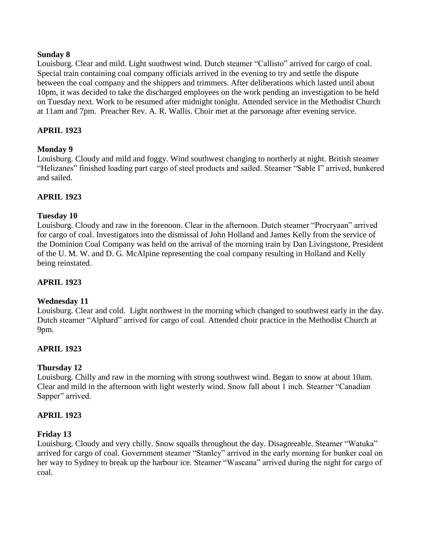## **Sunday 8**

Louisburg. Clear and mild. Light southwest wind. Dutch steamer "Callisto" arrived for cargo of coal. Special train containing coal company officials arrived in the evening to try and settle the dispute between the coal company and the shippers and trimmers. After deliberations which lasted until about 10pm, it was decided to take the discharged employees on the work pending an investigation to be held on Tuesday next. Work to be resumed after midnight tonight. Attended service in the Methodist Church at 11am and 7pm. Preacher Rev. A. R. Wallis. Choir met at the parsonage after evening service.

# **APRIL 1923**

## **Monday 9**

Louisburg. Cloudy and mild and foggy. Wind southwest changing to northerly at night. British steamer "Helizanes" finished loading part cargo of steel products and sailed. Steamer "Sable I" arrived, bunkered and sailed.

## **APRIL 1923**

### **Tuesday 10**

Louisburg. Cloudy and raw in the forenoon. Clear in the afternoon. Dutch steamer "Procryaan" arrived for cargo of coal. Investigators into the dismissal of John Holland and James Kelly from the service of the Dominion Coal Company was held on the arrival of the morning train by Dan Livingstone, President of the U. M. W. and D. G. McAlpine representing the coal company resulting in Holland and Kelly being reinstated.

### **APRIL 1923**

### **Wednesday 11**

Louisburg. Clear and cold. Light northwest in the morning which changed to southwest early in the day. Dutch steamer "Alphard" arrived for cargo of coal. Attended choir practice in the Methodist Church at 9pm.

### **APRIL 1923**

### **Thursday 12**

Louisburg. Chilly and raw in the morning with strong southwest wind. Began to snow at about 10am. Clear and mild in the afternoon with light westerly wind. Snow fall about 1 inch. Steamer "Canadian Sapper" arrived.

### **APRIL 1923**

#### **Friday 13**

Louisburg. Cloudy and very chilly. Snow squalls throughout the day. Disagreeable. Steamer "Watuka" arrived for cargo of coal. Government steamer "Stanley" arrived in the early morning for bunker coal on her way to Sydney to break up the harbour ice. Steamer "Wascana" arrived during the night for cargo of coal.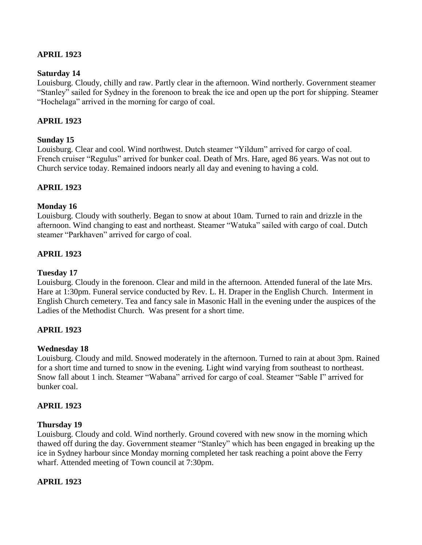## **APRIL 1923**

#### **Saturday 14**

Louisburg. Cloudy, chilly and raw. Partly clear in the afternoon. Wind northerly. Government steamer "Stanley" sailed for Sydney in the forenoon to break the ice and open up the port for shipping. Steamer "Hochelaga" arrived in the morning for cargo of coal.

#### **APRIL 1923**

#### **Sunday 15**

Louisburg. Clear and cool. Wind northwest. Dutch steamer "Yildum" arrived for cargo of coal. French cruiser "Regulus" arrived for bunker coal. Death of Mrs. Hare, aged 86 years. Was not out to Church service today. Remained indoors nearly all day and evening to having a cold.

#### **APRIL 1923**

#### **Monday 16**

Louisburg. Cloudy with southerly. Began to snow at about 10am. Turned to rain and drizzle in the afternoon. Wind changing to east and northeast. Steamer "Watuka" sailed with cargo of coal. Dutch steamer "Parkhaven" arrived for cargo of coal.

### **APRIL 1923**

#### **Tuesday 17**

Louisburg. Cloudy in the forenoon. Clear and mild in the afternoon. Attended funeral of the late Mrs. Hare at 1:30pm. Funeral service conducted by Rev. L. H. Draper in the English Church. Interment in English Church cemetery. Tea and fancy sale in Masonic Hall in the evening under the auspices of the Ladies of the Methodist Church. Was present for a short time.

### **APRIL 1923**

#### **Wednesday 18**

Louisburg. Cloudy and mild. Snowed moderately in the afternoon. Turned to rain at about 3pm. Rained for a short time and turned to snow in the evening. Light wind varying from southeast to northeast. Snow fall about 1 inch. Steamer "Wabana" arrived for cargo of coal. Steamer "Sable I" arrived for bunker coal.

#### **APRIL 1923**

#### **Thursday 19**

Louisburg. Cloudy and cold. Wind northerly. Ground covered with new snow in the morning which thawed off during the day. Government steamer "Stanley" which has been engaged in breaking up the ice in Sydney harbour since Monday morning completed her task reaching a point above the Ferry wharf. Attended meeting of Town council at 7:30pm.

#### **APRIL 1923**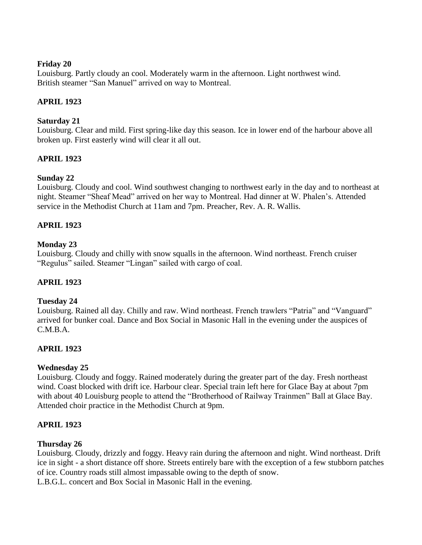## **Friday 20**

Louisburg. Partly cloudy an cool. Moderately warm in the afternoon. Light northwest wind. British steamer "San Manuel" arrived on way to Montreal.

## **APRIL 1923**

### **Saturday 21**

Louisburg. Clear and mild. First spring-like day this season. Ice in lower end of the harbour above all broken up. First easterly wind will clear it all out.

# **APRIL 1923**

## **Sunday 22**

Louisburg. Cloudy and cool. Wind southwest changing to northwest early in the day and to northeast at night. Steamer "Sheaf Mead" arrived on her way to Montreal. Had dinner at W. Phalen's. Attended service in the Methodist Church at 11am and 7pm. Preacher, Rev. A. R. Wallis.

## **APRIL 1923**

### **Monday 23**

Louisburg. Cloudy and chilly with snow squalls in the afternoon. Wind northeast. French cruiser "Regulus" sailed. Steamer "Lingan" sailed with cargo of coal.

### **APRIL 1923**

### **Tuesday 24**

Louisburg. Rained all day. Chilly and raw. Wind northeast. French trawlers "Patria" and "Vanguard" arrived for bunker coal. Dance and Box Social in Masonic Hall in the evening under the auspices of C.M.B.A.

### **APRIL 1923**

### **Wednesday 25**

Louisburg. Cloudy and foggy. Rained moderately during the greater part of the day. Fresh northeast wind. Coast blocked with drift ice. Harbour clear. Special train left here for Glace Bay at about 7pm with about 40 Louisburg people to attend the "Brotherhood of Railway Trainmen" Ball at Glace Bay. Attended choir practice in the Methodist Church at 9pm.

### **APRIL 1923**

### **Thursday 26**

Louisburg. Cloudy, drizzly and foggy. Heavy rain during the afternoon and night. Wind northeast. Drift ice in sight - a short distance off shore. Streets entirely bare with the exception of a few stubborn patches of ice. Country roads still almost impassable owing to the depth of snow.

L.B.G.L. concert and Box Social in Masonic Hall in the evening.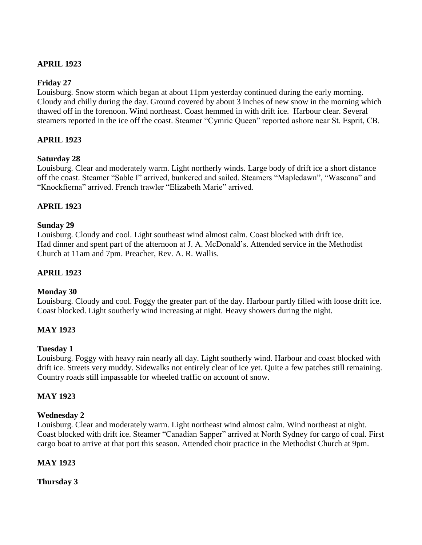# **APRIL 1923**

## **Friday 27**

Louisburg. Snow storm which began at about 11pm yesterday continued during the early morning. Cloudy and chilly during the day. Ground covered by about 3 inches of new snow in the morning which thawed off in the forenoon. Wind northeast. Coast hemmed in with drift ice. Harbour clear. Several steamers reported in the ice off the coast. Steamer "Cymric Queen" reported ashore near St. Esprit, CB.

## **APRIL 1923**

### **Saturday 28**

Louisburg. Clear and moderately warm. Light northerly winds. Large body of drift ice a short distance off the coast. Steamer "Sable I" arrived, bunkered and sailed. Steamers "Mapledawn", "Wascana" and "Knockfierna" arrived. French trawler "Elizabeth Marie" arrived.

## **APRIL 1923**

### **Sunday 29**

Louisburg. Cloudy and cool. Light southeast wind almost calm. Coast blocked with drift ice. Had dinner and spent part of the afternoon at J. A. McDonald's. Attended service in the Methodist Church at 11am and 7pm. Preacher, Rev. A. R. Wallis.

### **APRIL 1923**

### **Monday 30**

Louisburg. Cloudy and cool. Foggy the greater part of the day. Harbour partly filled with loose drift ice. Coast blocked. Light southerly wind increasing at night. Heavy showers during the night.

### **MAY 1923**

### **Tuesday 1**

Louisburg. Foggy with heavy rain nearly all day. Light southerly wind. Harbour and coast blocked with drift ice. Streets very muddy. Sidewalks not entirely clear of ice yet. Quite a few patches still remaining. Country roads still impassable for wheeled traffic on account of snow.

### **MAY 1923**

#### **Wednesday 2**

Louisburg. Clear and moderately warm. Light northeast wind almost calm. Wind northeast at night. Coast blocked with drift ice. Steamer "Canadian Sapper" arrived at North Sydney for cargo of coal. First cargo boat to arrive at that port this season. Attended choir practice in the Methodist Church at 9pm.

### **MAY 1923**

**Thursday 3**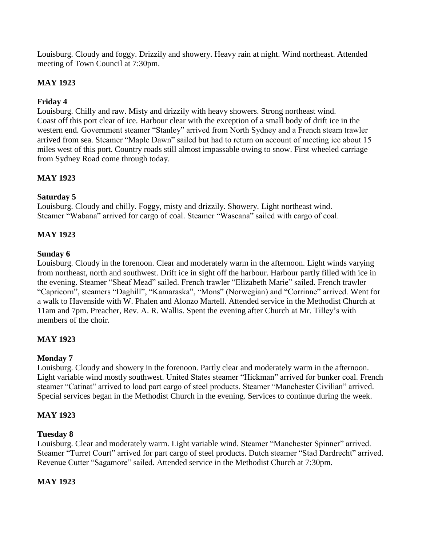Louisburg. Cloudy and foggy. Drizzily and showery. Heavy rain at night. Wind northeast. Attended meeting of Town Council at 7:30pm.

# **MAY 1923**

# **Friday 4**

Louisburg. Chilly and raw. Misty and drizzily with heavy showers. Strong northeast wind. Coast off this port clear of ice. Harbour clear with the exception of a small body of drift ice in the western end. Government steamer "Stanley" arrived from North Sydney and a French steam trawler arrived from sea. Steamer "Maple Dawn" sailed but had to return on account of meeting ice about 15 miles west of this port. Country roads still almost impassable owing to snow. First wheeled carriage from Sydney Road come through today.

# **MAY 1923**

# **Saturday 5**

Louisburg. Cloudy and chilly. Foggy, misty and drizzily. Showery. Light northeast wind. Steamer "Wabana" arrived for cargo of coal. Steamer "Wascana" sailed with cargo of coal.

# **MAY 1923**

## **Sunday 6**

Louisburg. Cloudy in the forenoon. Clear and moderately warm in the afternoon. Light winds varying from northeast, north and southwest. Drift ice in sight off the harbour. Harbour partly filled with ice in the evening. Steamer "Sheaf Mead" sailed. French trawler "Elizabeth Marie" sailed. French trawler "Capricorn", steamers "Daghill", "Kamaraska", "Mons" (Norwegian) and "Corrinne" arrived. Went for a walk to Havenside with W. Phalen and Alonzo Martell. Attended service in the Methodist Church at 11am and 7pm. Preacher, Rev. A. R. Wallis. Spent the evening after Church at Mr. Tilley's with members of the choir.

# **MAY 1923**

# **Monday 7**

Louisburg. Cloudy and showery in the forenoon. Partly clear and moderately warm in the afternoon. Light variable wind mostly southwest. United States steamer "Hickman" arrived for bunker coal. French steamer "Catinat" arrived to load part cargo of steel products. Steamer "Manchester Civilian" arrived. Special services began in the Methodist Church in the evening. Services to continue during the week.

### **MAY 1923**

### **Tuesday 8**

Louisburg. Clear and moderately warm. Light variable wind. Steamer "Manchester Spinner" arrived. Steamer "Turret Court" arrived for part cargo of steel products. Dutch steamer "Stad Dardrecht" arrived. Revenue Cutter "Sagamore" sailed. Attended service in the Methodist Church at 7:30pm.

# **MAY 1923**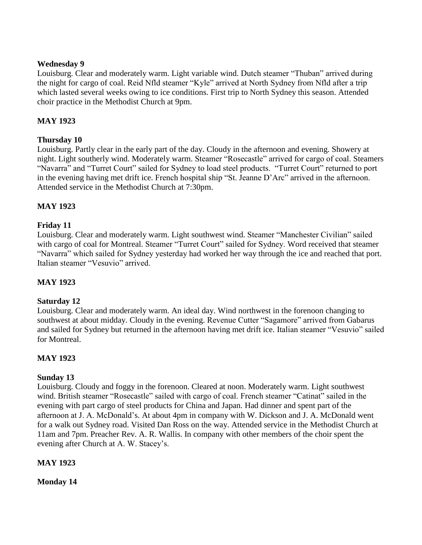### **Wednesday 9**

Louisburg. Clear and moderately warm. Light variable wind. Dutch steamer "Thuban" arrived during the night for cargo of coal. Reid Nfld steamer "Kyle" arrived at North Sydney from Nfld after a trip which lasted several weeks owing to ice conditions. First trip to North Sydney this season. Attended choir practice in the Methodist Church at 9pm.

# **MAY 1923**

# **Thursday 10**

Louisburg. Partly clear in the early part of the day. Cloudy in the afternoon and evening. Showery at night. Light southerly wind. Moderately warm. Steamer "Rosecastle" arrived for cargo of coal. Steamers "Navarra" and "Turret Court" sailed for Sydney to load steel products. "Turret Court" returned to port in the evening having met drift ice. French hospital ship "St. Jeanne D'Arc" arrived in the afternoon. Attended service in the Methodist Church at 7:30pm.

# **MAY 1923**

# **Friday 11**

Louisburg. Clear and moderately warm. Light southwest wind. Steamer "Manchester Civilian" sailed with cargo of coal for Montreal. Steamer "Turret Court" sailed for Sydney. Word received that steamer "Navarra" which sailed for Sydney yesterday had worked her way through the ice and reached that port. Italian steamer "Vesuvio" arrived.

# **MAY 1923**

### **Saturday 12**

Louisburg. Clear and moderately warm. An ideal day. Wind northwest in the forenoon changing to southwest at about midday. Cloudy in the evening. Revenue Cutter "Sagamore" arrived from Gabarus and sailed for Sydney but returned in the afternoon having met drift ice. Italian steamer "Vesuvio" sailed for Montreal.

# **MAY 1923**

# **Sunday 13**

Louisburg. Cloudy and foggy in the forenoon. Cleared at noon. Moderately warm. Light southwest wind. British steamer "Rosecastle" sailed with cargo of coal. French steamer "Catinat" sailed in the evening with part cargo of steel products for China and Japan. Had dinner and spent part of the afternoon at J. A. McDonald's. At about 4pm in company with W. Dickson and J. A. McDonald went for a walk out Sydney road. Visited Dan Ross on the way. Attended service in the Methodist Church at 11am and 7pm. Preacher Rev. A. R. Wallis. In company with other members of the choir spent the evening after Church at A. W. Stacey's.

# **MAY 1923**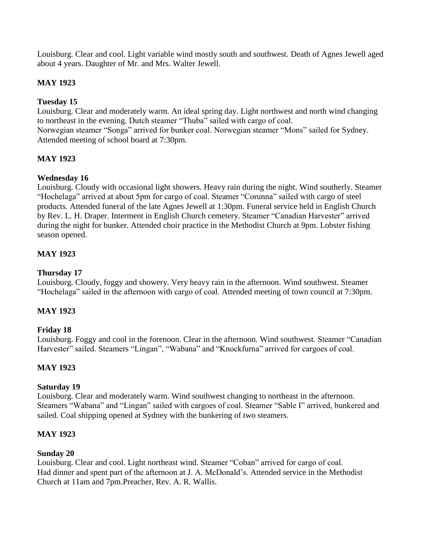Louisburg. Clear and cool. Light variable wind mostly south and southwest. Death of Agnes Jewell aged about 4 years. Daughter of Mr. and Mrs. Walter Jewell.

# **MAY 1923**

# **Tuesday 15**

Louisburg. Clear and moderately warm. An ideal spring day. Light northwest and north wind changing to northeast in the evening. Dutch steamer "Thuba" sailed with cargo of coal. Norwegian steamer "Songa" arrived for bunker coal. Norwegian steamer "Mons" sailed for Sydney. Attended meeting of school board at 7:30pm.

# **MAY 1923**

# **Wednesday 16**

Louisburg. Cloudy with occasional light showers. Heavy rain during the night. Wind southerly. Steamer "Hochelaga" arrived at about 5pm for cargo of coal. Steamer "Corunna" sailed with cargo of steel products. Attended funeral of the late Agnes Jewell at 1:30pm. Funeral service held in English Church by Rev. L. H. Draper. Interment in English Church cemetery. Steamer "Canadian Harvester" arrived during the night for bunker. Attended choir practice in the Methodist Church at 9pm. Lobster fishing season opened.

# **MAY 1923**

## **Thursday 17**

Louisburg. Cloudy, foggy and showery. Very heavy rain in the afternoon. Wind southwest. Steamer "Hochelaga" sailed in the afternoon with cargo of coal. Attended meeting of town council at 7:30pm.

# **MAY 1923**

# **Friday 18**

Louisburg. Foggy and cool in the forenoon. Clear in the afternoon. Wind southwest. Steamer "Canadian Harvester" sailed. Steamers "Lingan", "Wabana" and "Knockfurna" arrived for cargoes of coal.

# **MAY 1923**

### **Saturday 19**

Louisburg. Clear and moderately warm. Wind southwest changing to northeast in the afternoon. Steamers "Wabana" and "Lingan" sailed with cargoes of coal. Steamer "Sable I" arrived, bunkered and sailed. Coal shipping opened at Sydney with the bunkering of two steamers.

### **MAY 1923**

### **Sunday 20**

Louisburg. Clear and cool. Light northeast wind. Steamer "Coban" arrived for cargo of coal. Had dinner and spent part of the afternoon at J. A. McDonald's. Attended service in the Methodist Church at 11am and 7pm.Preacher, Rev. A. R. Wallis.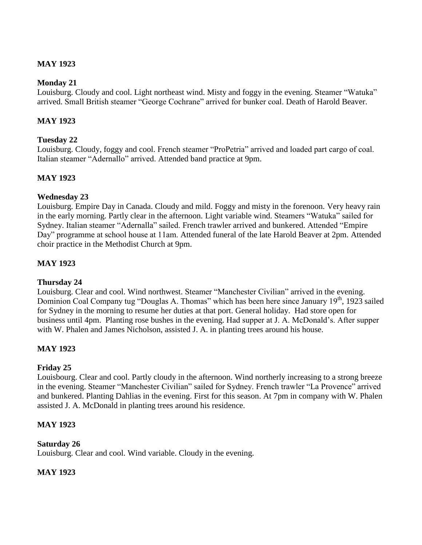## **MAY 1923**

#### **Monday 21**

Louisburg. Cloudy and cool. Light northeast wind. Misty and foggy in the evening. Steamer "Watuka" arrived. Small British steamer "George Cochrane" arrived for bunker coal. Death of Harold Beaver.

### **MAY 1923**

#### **Tuesday 22**

Louisburg. Cloudy, foggy and cool. French steamer "ProPetria" arrived and loaded part cargo of coal. Italian steamer "Adernallo" arrived. Attended band practice at 9pm.

### **MAY 1923**

#### **Wednesday 23**

Louisburg. Empire Day in Canada. Cloudy and mild. Foggy and misty in the forenoon. Very heavy rain in the early morning. Partly clear in the afternoon. Light variable wind. Steamers "Watuka" sailed for Sydney. Italian steamer "Adernalla" sailed. French trawler arrived and bunkered. Attended "Empire Day" programme at school house at 11am. Attended funeral of the late Harold Beaver at 2pm. Attended choir practice in the Methodist Church at 9pm.

### **MAY 1923**

#### **Thursday 24**

Louisburg. Clear and cool. Wind northwest. Steamer "Manchester Civilian" arrived in the evening. Dominion Coal Company tug "Douglas A. Thomas" which has been here since January 19<sup>th</sup>, 1923 sailed for Sydney in the morning to resume her duties at that port. General holiday. Had store open for business until 4pm. Planting rose bushes in the evening. Had supper at J. A. McDonald's. After supper with W. Phalen and James Nicholson, assisted J. A. in planting trees around his house.

#### **MAY 1923**

#### **Friday 25**

Louisbourg. Clear and cool. Partly cloudy in the afternoon. Wind northerly increasing to a strong breeze in the evening. Steamer "Manchester Civilian" sailed for Sydney. French trawler "La Provence" arrived and bunkered. Planting Dahlias in the evening. First for this season. At 7pm in company with W. Phalen assisted J. A. McDonald in planting trees around his residence.

#### **MAY 1923**

#### **Saturday 26**

Louisburg. Clear and cool. Wind variable. Cloudy in the evening.

### **MAY 1923**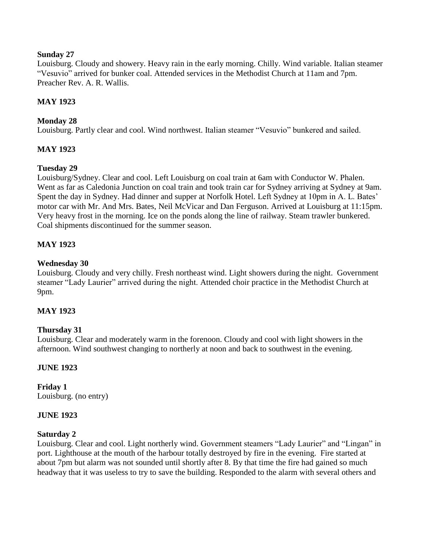## **Sunday 27**

Louisburg. Cloudy and showery. Heavy rain in the early morning. Chilly. Wind variable. Italian steamer "Vesuvio" arrived for bunker coal. Attended services in the Methodist Church at 11am and 7pm. Preacher Rev. A. R. Wallis.

# **MAY 1923**

# **Monday 28**

Louisburg. Partly clear and cool. Wind northwest. Italian steamer "Vesuvio" bunkered and sailed.

# **MAY 1923**

### **Tuesday 29**

Louisburg/Sydney. Clear and cool. Left Louisburg on coal train at 6am with Conductor W. Phalen. Went as far as Caledonia Junction on coal train and took train car for Sydney arriving at Sydney at 9am. Spent the day in Sydney. Had dinner and supper at Norfolk Hotel. Left Sydney at 10pm in A. L. Bates' motor car with Mr. And Mrs. Bates, Neil McVicar and Dan Ferguson. Arrived at Louisburg at 11:15pm. Very heavy frost in the morning. Ice on the ponds along the line of railway. Steam trawler bunkered. Coal shipments discontinued for the summer season.

## **MAY 1923**

### **Wednesday 30**

Louisburg. Cloudy and very chilly. Fresh northeast wind. Light showers during the night. Government steamer "Lady Laurier" arrived during the night. Attended choir practice in the Methodist Church at 9pm.

### **MAY 1923**

### **Thursday 31**

Louisburg. Clear and moderately warm in the forenoon. Cloudy and cool with light showers in the afternoon. Wind southwest changing to northerly at noon and back to southwest in the evening.

### **JUNE 1923**

**Friday 1** Louisburg. (no entry)

### **JUNE 1923**

### **Saturday 2**

Louisburg. Clear and cool. Light northerly wind. Government steamers "Lady Laurier" and "Lingan" in port. Lighthouse at the mouth of the harbour totally destroyed by fire in the evening. Fire started at about 7pm but alarm was not sounded until shortly after 8. By that time the fire had gained so much headway that it was useless to try to save the building. Responded to the alarm with several others and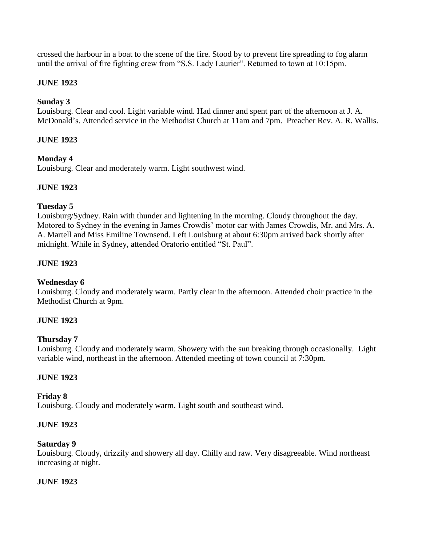crossed the harbour in a boat to the scene of the fire. Stood by to prevent fire spreading to fog alarm until the arrival of fire fighting crew from "S.S. Lady Laurier". Returned to town at 10:15pm.

# **JUNE 1923**

# **Sunday 3**

Louisburg. Clear and cool. Light variable wind. Had dinner and spent part of the afternoon at J. A. McDonald's. Attended service in the Methodist Church at 11am and 7pm. Preacher Rev. A. R. Wallis.

# **JUNE 1923**

# **Monday 4**

Louisburg. Clear and moderately warm. Light southwest wind.

# **JUNE 1923**

## **Tuesday 5**

Louisburg/Sydney. Rain with thunder and lightening in the morning. Cloudy throughout the day. Motored to Sydney in the evening in James Crowdis' motor car with James Crowdis, Mr. and Mrs. A. A. Martell and Miss Emiline Townsend. Left Louisburg at about 6:30pm arrived back shortly after midnight. While in Sydney, attended Oratorio entitled "St. Paul".

# **JUNE 1923**

# **Wednesday 6**

Louisburg. Cloudy and moderately warm. Partly clear in the afternoon. Attended choir practice in the Methodist Church at 9pm.

# **JUNE 1923**

# **Thursday 7**

Louisburg. Cloudy and moderately warm. Showery with the sun breaking through occasionally. Light variable wind, northeast in the afternoon. Attended meeting of town council at 7:30pm.

### **JUNE 1923**

### **Friday 8**

Louisburg. Cloudy and moderately warm. Light south and southeast wind.

### **JUNE 1923**

### **Saturday 9**

Louisburg. Cloudy, drizzily and showery all day. Chilly and raw. Very disagreeable. Wind northeast increasing at night.

### **JUNE 1923**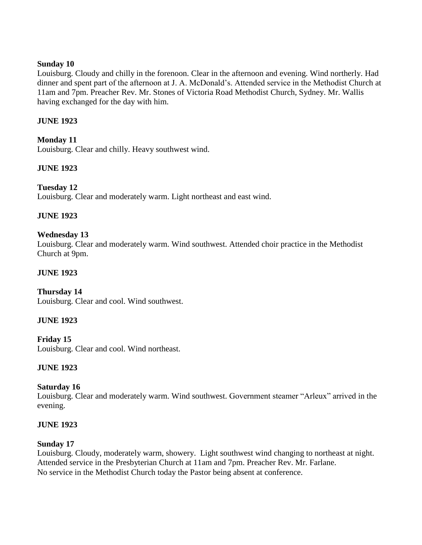### **Sunday 10**

Louisburg. Cloudy and chilly in the forenoon. Clear in the afternoon and evening. Wind northerly. Had dinner and spent part of the afternoon at J. A. McDonald's. Attended service in the Methodist Church at 11am and 7pm. Preacher Rev. Mr. Stones of Victoria Road Methodist Church, Sydney. Mr. Wallis having exchanged for the day with him.

### **JUNE 1923**

**Monday 11** Louisburg. Clear and chilly. Heavy southwest wind.

## **JUNE 1923**

## **Tuesday 12**

Louisburg. Clear and moderately warm. Light northeast and east wind.

## **JUNE 1923**

## **Wednesday 13**

Louisburg. Clear and moderately warm. Wind southwest. Attended choir practice in the Methodist Church at 9pm.

### **JUNE 1923**

### **Thursday 14**

Louisburg. Clear and cool. Wind southwest.

### **JUNE 1923**

**Friday 15** Louisburg. Clear and cool. Wind northeast.

### **JUNE 1923**

### **Saturday 16**

Louisburg. Clear and moderately warm. Wind southwest. Government steamer "Arleux" arrived in the evening.

### **JUNE 1923**

### **Sunday 17**

Louisburg. Cloudy, moderately warm, showery. Light southwest wind changing to northeast at night. Attended service in the Presbyterian Church at 11am and 7pm. Preacher Rev. Mr. Farlane. No service in the Methodist Church today the Pastor being absent at conference.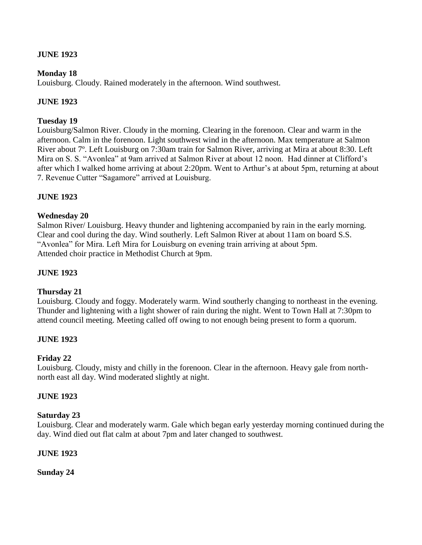## **JUNE 1923**

### **Monday 18**

Louisburg. Cloudy. Rained moderately in the afternoon. Wind southwest.

### **JUNE 1923**

#### **Tuesday 19**

Louisburg/Salmon River. Cloudy in the morning. Clearing in the forenoon. Clear and warm in the afternoon. Calm in the forenoon. Light southwest wind in the afternoon. Max temperature at Salmon River about 7º. Left Louisburg on 7:30am train for Salmon River, arriving at Mira at about 8:30. Left Mira on S. S. "Avonlea" at 9am arrived at Salmon River at about 12 noon. Had dinner at Clifford's after which I walked home arriving at about 2:20pm. Went to Arthur's at about 5pm, returning at about 7. Revenue Cutter "Sagamore" arrived at Louisburg.

## **JUNE 1923**

### **Wednesday 20**

Salmon River/ Louisburg. Heavy thunder and lightening accompanied by rain in the early morning. Clear and cool during the day. Wind southerly. Left Salmon River at about 11am on board S.S. "Avonlea" for Mira. Left Mira for Louisburg on evening train arriving at about 5pm. Attended choir practice in Methodist Church at 9pm.

#### **JUNE 1923**

### **Thursday 21**

Louisburg. Cloudy and foggy. Moderately warm. Wind southerly changing to northeast in the evening. Thunder and lightening with a light shower of rain during the night. Went to Town Hall at 7:30pm to attend council meeting. Meeting called off owing to not enough being present to form a quorum.

#### **JUNE 1923**

### **Friday 22**

Louisburg. Cloudy, misty and chilly in the forenoon. Clear in the afternoon. Heavy gale from northnorth east all day. Wind moderated slightly at night.

#### **JUNE 1923**

#### **Saturday 23**

Louisburg. Clear and moderately warm. Gale which began early yesterday morning continued during the day. Wind died out flat calm at about 7pm and later changed to southwest.

#### **JUNE 1923**

**Sunday 24**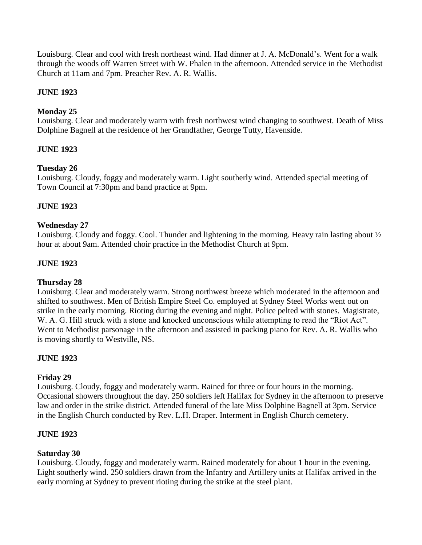Louisburg. Clear and cool with fresh northeast wind. Had dinner at J. A. McDonald's. Went for a walk through the woods off Warren Street with W. Phalen in the afternoon. Attended service in the Methodist Church at 11am and 7pm. Preacher Rev. A. R. Wallis.

## **JUNE 1923**

## **Monday 25**

Louisburg. Clear and moderately warm with fresh northwest wind changing to southwest. Death of Miss Dolphine Bagnell at the residence of her Grandfather, George Tutty, Havenside.

### **JUNE 1923**

### **Tuesday 26**

Louisburg. Cloudy, foggy and moderately warm. Light southerly wind. Attended special meeting of Town Council at 7:30pm and band practice at 9pm.

### **JUNE 1923**

#### **Wednesday 27**

Louisburg. Cloudy and foggy. Cool. Thunder and lightening in the morning. Heavy rain lasting about ½ hour at about 9am. Attended choir practice in the Methodist Church at 9pm.

#### **JUNE 1923**

#### **Thursday 28**

Louisburg. Clear and moderately warm. Strong northwest breeze which moderated in the afternoon and shifted to southwest. Men of British Empire Steel Co. employed at Sydney Steel Works went out on strike in the early morning. Rioting during the evening and night. Police pelted with stones. Magistrate, W. A. G. Hill struck with a stone and knocked unconscious while attempting to read the "Riot Act". Went to Methodist parsonage in the afternoon and assisted in packing piano for Rev. A. R. Wallis who is moving shortly to Westville, NS.

#### **JUNE 1923**

### **Friday 29**

Louisburg. Cloudy, foggy and moderately warm. Rained for three or four hours in the morning. Occasional showers throughout the day. 250 soldiers left Halifax for Sydney in the afternoon to preserve law and order in the strike district. Attended funeral of the late Miss Dolphine Bagnell at 3pm. Service in the English Church conducted by Rev. L.H. Draper. Interment in English Church cemetery.

#### **JUNE 1923**

### **Saturday 30**

Louisburg. Cloudy, foggy and moderately warm. Rained moderately for about 1 hour in the evening. Light southerly wind. 250 soldiers drawn from the Infantry and Artillery units at Halifax arrived in the early morning at Sydney to prevent rioting during the strike at the steel plant.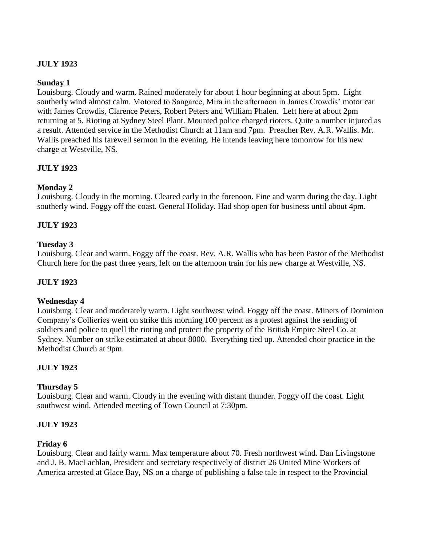# **JULY 1923**

## **Sunday 1**

Louisburg. Cloudy and warm. Rained moderately for about 1 hour beginning at about 5pm. Light southerly wind almost calm. Motored to Sangaree, Mira in the afternoon in James Crowdis' motor car with James Crowdis, Clarence Peters, Robert Peters and William Phalen. Left here at about 2pm returning at 5. Rioting at Sydney Steel Plant. Mounted police charged rioters. Quite a number injured as a result. Attended service in the Methodist Church at 11am and 7pm. Preacher Rev. A.R. Wallis. Mr. Wallis preached his farewell sermon in the evening. He intends leaving here tomorrow for his new charge at Westville, NS.

# **JULY 1923**

## **Monday 2**

Louisburg. Cloudy in the morning. Cleared early in the forenoon. Fine and warm during the day. Light southerly wind. Foggy off the coast. General Holiday. Had shop open for business until about 4pm.

# **JULY 1923**

## **Tuesday 3**

Louisburg. Clear and warm. Foggy off the coast. Rev. A.R. Wallis who has been Pastor of the Methodist Church here for the past three years, left on the afternoon train for his new charge at Westville, NS.

### **JULY 1923**

### **Wednesday 4**

Louisburg. Clear and moderately warm. Light southwest wind. Foggy off the coast. Miners of Dominion Company's Collieries went on strike this morning 100 percent as a protest against the sending of soldiers and police to quell the rioting and protect the property of the British Empire Steel Co. at Sydney. Number on strike estimated at about 8000. Everything tied up. Attended choir practice in the Methodist Church at 9pm.

### **JULY 1923**

### **Thursday 5**

Louisburg. Clear and warm. Cloudy in the evening with distant thunder. Foggy off the coast. Light southwest wind. Attended meeting of Town Council at 7:30pm.

### **JULY 1923**

### **Friday 6**

Louisburg. Clear and fairly warm. Max temperature about 70. Fresh northwest wind. Dan Livingstone and J. B. MacLachlan, President and secretary respectively of district 26 United Mine Workers of America arrested at Glace Bay, NS on a charge of publishing a false tale in respect to the Provincial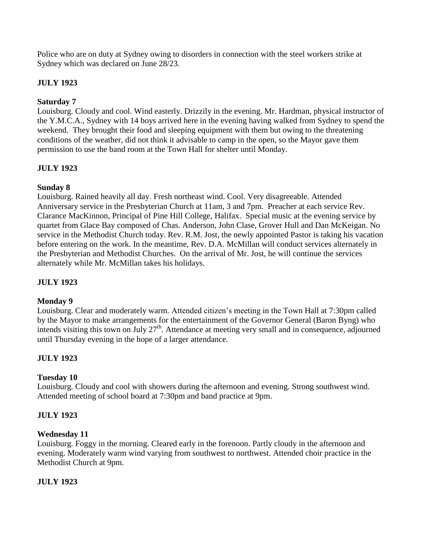Police who are on duty at Sydney owing to disorders in connection with the steel workers strike at Sydney which was declared on June 28/23.

# **JULY 1923**

# **Saturday 7**

Louisburg. Cloudy and cool. Wind easterly. Drizzily in the evening. Mr. Hardman, physical instructor of the Y.M.C.A., Sydney with 14 boys arrived here in the evening having walked from Sydney to spend the weekend. They brought their food and sleeping equipment with them but owing to the threatening conditions of the weather, did not think it advisable to camp in the open, so the Mayor gave them permission to use the band room at the Town Hall for shelter until Monday.

# **JULY 1923**

## **Sunday 8**

Louisburg. Rained heavily all day. Fresh northeast wind. Cool. Very disagreeable. Attended Anniversary service in the Presbyterian Church at 11am, 3 and 7pm. Preacher at each service Rev. Clarance MacKinnon, Principal of Pine Hill College, Halifax. Special music at the evening service by quartet from Glace Bay composed of Chas. Anderson, John Clase, Grover Hull and Dan McKeigan. No service in the Methodist Church today. Rev. R.M. Jost, the newly appointed Pastor is taking his vacation before entering on the work. In the meantime, Rev. D.A. McMillan will conduct services alternately in the Presbyterian and Methodist Churches. On the arrival of Mr. Jost, he will continue the services alternately while Mr. McMillan takes his holidays.

# **JULY 1923**

### **Monday 9**

Louisburg. Clear and moderately warm. Attended citizen's meeting in the Town Hall at 7:30pm called by the Mayor to make arrangements for the entertainment of the Governor General (Baron Byng) who intends visiting this town on July  $27<sup>th</sup>$ . Attendance at meeting very small and in consequence, adjourned until Thursday evening in the hope of a larger attendance.

# **JULY 1923**

# **Tuesday 10**

Louisburg. Cloudy and cool with showers during the afternoon and evening. Strong southwest wind. Attended meeting of school board at 7:30pm and band practice at 9pm.

# **JULY 1923**

### **Wednesday 11**

Louisburg. Foggy in the morning. Cleared early in the forenoon. Partly cloudy in the afternoon and evening. Moderately warm wind varying from southwest to northwest. Attended choir practice in the Methodist Church at 9pm.

# **JULY 1923**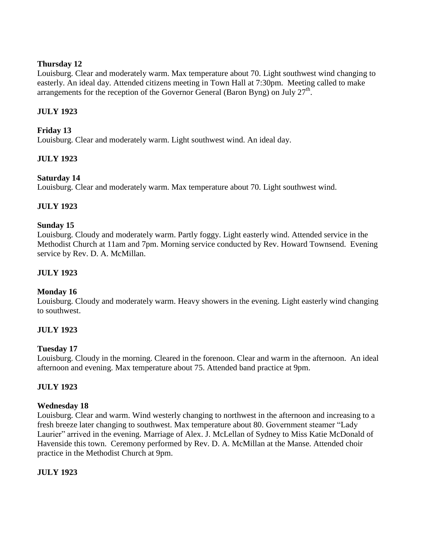## **Thursday 12**

Louisburg. Clear and moderately warm. Max temperature about 70. Light southwest wind changing to easterly. An ideal day. Attended citizens meeting in Town Hall at 7:30pm. Meeting called to make arrangements for the reception of the Governor General (Baron Byng) on July  $27<sup>th</sup>$ .

# **JULY 1923**

### **Friday 13**

Louisburg. Clear and moderately warm. Light southwest wind. An ideal day.

## **JULY 1923**

## **Saturday 14**

Louisburg. Clear and moderately warm. Max temperature about 70. Light southwest wind.

## **JULY 1923**

### **Sunday 15**

Louisburg. Cloudy and moderately warm. Partly foggy. Light easterly wind. Attended service in the Methodist Church at 11am and 7pm. Morning service conducted by Rev. Howard Townsend. Evening service by Rev. D. A. McMillan.

### **JULY 1923**

### **Monday 16**

Louisburg. Cloudy and moderately warm. Heavy showers in the evening. Light easterly wind changing to southwest.

### **JULY 1923**

### **Tuesday 17**

Louisburg. Cloudy in the morning. Cleared in the forenoon. Clear and warm in the afternoon. An ideal afternoon and evening. Max temperature about 75. Attended band practice at 9pm.

### **JULY 1923**

### **Wednesday 18**

Louisburg. Clear and warm. Wind westerly changing to northwest in the afternoon and increasing to a fresh breeze later changing to southwest. Max temperature about 80. Government steamer "Lady Laurier" arrived in the evening. Marriage of Alex. J. McLellan of Sydney to Miss Katie McDonald of Havenside this town. Ceremony performed by Rev. D. A. McMillan at the Manse. Attended choir practice in the Methodist Church at 9pm.

### **JULY 1923**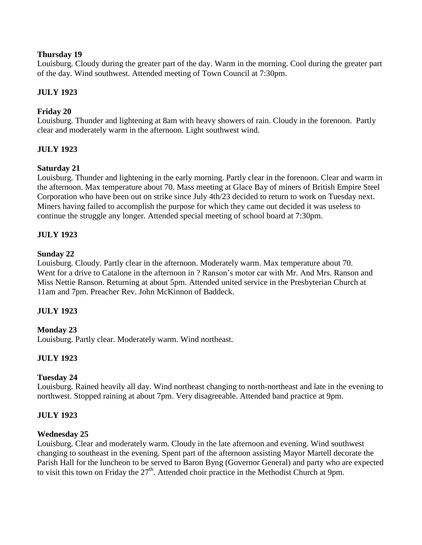## **Thursday 19**

Louisburg. Cloudy during the greater part of the day. Warm in the morning. Cool during the greater part of the day. Wind southwest. Attended meeting of Town Council at 7:30pm.

# **JULY 1923**

# **Friday 20**

Louisburg. Thunder and lightening at 8am with heavy showers of rain. Cloudy in the forenoon. Partly clear and moderately warm in the afternoon. Light southwest wind.

# **JULY 1923**

# **Saturday 21**

Louisburg. Thunder and lightening in the early morning. Partly clear in the forenoon. Clear and warm in the afternoon. Max temperature about 70. Mass meeting at Glace Bay of miners of British Empire Steel Corporation who have been out on strike since July 4th/23 decided to return to work on Tuesday next. Miners having failed to accomplish the purpose for which they came out decided it was useless to continue the struggle any longer. Attended special meeting of school board at 7:30pm.

# **JULY 1923**

## **Sunday 22**

Louisburg. Cloudy. Partly clear in the afternoon. Moderately warm. Max temperature about 70. Went for a drive to Catalone in the afternoon in ? Ranson's motor car with Mr. And Mrs. Ranson and Miss Nettie Ranson. Returning at about 5pm. Attended united service in the Presbyterian Church at 11am and 7pm. Preacher Rev. John McKinnon of Baddeck.

### **JULY 1923**

### **Monday 23**

Louisburg. Partly clear. Moderately warm. Wind northeast.

# **JULY 1923**

### **Tuesday 24**

Louisburg. Rained heavily all day. Wind northeast changing to north-northeast and late in the evening to northwest. Stopped raining at about 7pm. Very disagreeable. Attended band practice at 9pm.

### **JULY 1923**

### **Wednesday 25**

Louisburg. Clear and moderately warm. Cloudy in the late afternoon and evening. Wind southwest changing to southeast in the evening. Spent part of the afternoon assisting Mayor Martell decorate the Parish Hall for the luncheon to be served to Baron Byng (Governor General) and party who are expected to visit this town on Friday the  $27<sup>th</sup>$ . Attended choir practice in the Methodist Church at 9pm.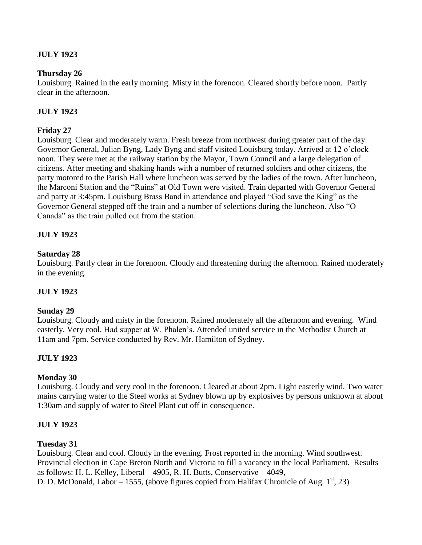# **JULY 1923**

### **Thursday 26**

Louisburg. Rained in the early morning. Misty in the forenoon. Cleared shortly before noon. Partly clear in the afternoon.

### **JULY 1923**

### **Friday 27**

Louisburg. Clear and moderately warm. Fresh breeze from northwest during greater part of the day. Governor General, Julian Byng, Lady Byng and staff visited Louisburg today. Arrived at 12 o'clock noon. They were met at the railway station by the Mayor, Town Council and a large delegation of citizens. After meeting and shaking hands with a number of returned soldiers and other citizens, the party motored to the Parish Hall where luncheon was served by the ladies of the town. After luncheon, the Marconi Station and the "Ruins" at Old Town were visited. Train departed with Governor General and party at 3:45pm. Louisburg Brass Band in attendance and played "God save the King" as the Governor General stepped off the train and a number of selections during the luncheon. Also "O Canada" as the train pulled out from the station.

### **JULY 1923**

#### **Saturday 28**

Louisburg. Partly clear in the forenoon. Cloudy and threatening during the afternoon. Rained moderately in the evening.

### **JULY 1923**

#### **Sunday 29**

Louisburg. Cloudy and misty in the forenoon. Rained moderately all the afternoon and evening. Wind easterly. Very cool. Had supper at W. Phalen's. Attended united service in the Methodist Church at 11am and 7pm. Service conducted by Rev. Mr. Hamilton of Sydney.

### **JULY 1923**

#### **Monday 30**

Louisburg. Cloudy and very cool in the forenoon. Cleared at about 2pm. Light easterly wind. Two water mains carrying water to the Steel works at Sydney blown up by explosives by persons unknown at about 1:30am and supply of water to Steel Plant cut off in consequence.

#### **JULY 1923**

#### **Tuesday 31**

Louisburg. Clear and cool. Cloudy in the evening. Frost reported in the morning. Wind southwest. Provincial election in Cape Breton North and Victoria to fill a vacancy in the local Parliament. Results as follows: H. L. Kelley, Liberal – 4905, R. H. Butts, Conservative – 4049,

D. D. McDonald, Labor – 1555, (above figures copied from Halifax Chronicle of Aug.  $1<sup>st</sup>$ , 23)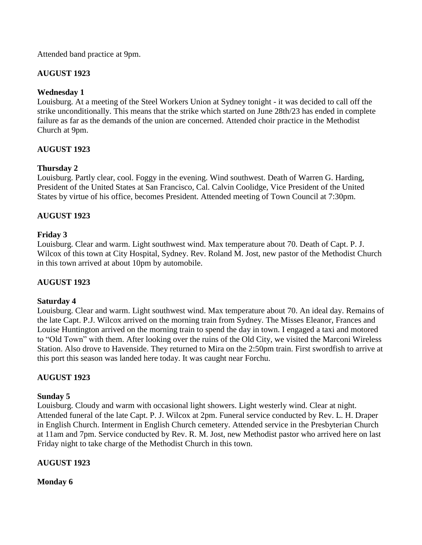Attended band practice at 9pm.

# **AUGUST 1923**

# **Wednesday 1**

Louisburg. At a meeting of the Steel Workers Union at Sydney tonight - it was decided to call off the strike unconditionally. This means that the strike which started on June 28th/23 has ended in complete failure as far as the demands of the union are concerned. Attended choir practice in the Methodist Church at 9pm.

# **AUGUST 1923**

# **Thursday 2**

Louisburg. Partly clear, cool. Foggy in the evening. Wind southwest. Death of Warren G. Harding, President of the United States at San Francisco, Cal. Calvin Coolidge, Vice President of the United States by virtue of his office, becomes President. Attended meeting of Town Council at 7:30pm.

# **AUGUST 1923**

# **Friday 3**

Louisburg. Clear and warm. Light southwest wind. Max temperature about 70. Death of Capt. P. J. Wilcox of this town at City Hospital, Sydney. Rev. Roland M. Jost, new pastor of the Methodist Church in this town arrived at about 10pm by automobile.

# **AUGUST 1923**

# **Saturday 4**

Louisburg. Clear and warm. Light southwest wind. Max temperature about 70. An ideal day. Remains of the late Capt. P.J. Wilcox arrived on the morning train from Sydney. The Misses Eleanor, Frances and Louise Huntington arrived on the morning train to spend the day in town. I engaged a taxi and motored to "Old Town" with them. After looking over the ruins of the Old City, we visited the Marconi Wireless Station. Also drove to Havenside. They returned to Mira on the 2:50pm train. First swordfish to arrive at this port this season was landed here today. It was caught near Forchu.

# **AUGUST 1923**

# **Sunday 5**

Louisburg. Cloudy and warm with occasional light showers. Light westerly wind. Clear at night. Attended funeral of the late Capt. P. J. Wilcox at 2pm. Funeral service conducted by Rev. L. H. Draper in English Church. Interment in English Church cemetery. Attended service in the Presbyterian Church at 11am and 7pm. Service conducted by Rev. R. M. Jost, new Methodist pastor who arrived here on last Friday night to take charge of the Methodist Church in this town.

# **AUGUST 1923**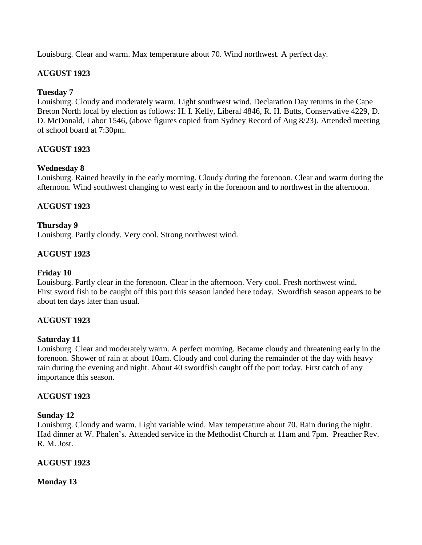Louisburg. Clear and warm. Max temperature about 70. Wind northwest. A perfect day.

# **AUGUST 1923**

# **Tuesday 7**

Louisburg. Cloudy and moderately warm. Light southwest wind. Declaration Day returns in the Cape Breton North local by election as follows: H. I. Kelly, Liberal 4846, R. H. Butts, Conservative 4229, D. D. McDonald, Labor 1546, (above figures copied from Sydney Record of Aug 8/23). Attended meeting of school board at 7:30pm.

## **AUGUST 1923**

## **Wednesday 8**

Louisburg. Rained heavily in the early morning. Cloudy during the forenoon. Clear and warm during the afternoon. Wind southwest changing to west early in the forenoon and to northwest in the afternoon.

## **AUGUST 1923**

## **Thursday 9**

Louisburg. Partly cloudy. Very cool. Strong northwest wind.

## **AUGUST 1923**

### **Friday 10**

Louisburg. Partly clear in the forenoon. Clear in the afternoon. Very cool. Fresh northwest wind. First sword fish to be caught off this port this season landed here today. Swordfish season appears to be about ten days later than usual.

### **AUGUST 1923**

### **Saturday 11**

Louisburg. Clear and moderately warm. A perfect morning. Became cloudy and threatening early in the forenoon. Shower of rain at about 10am. Cloudy and cool during the remainder of the day with heavy rain during the evening and night. About 40 swordfish caught off the port today. First catch of any importance this season.

### **AUGUST 1923**

#### **Sunday 12**

Louisburg. Cloudy and warm. Light variable wind. Max temperature about 70. Rain during the night. Had dinner at W. Phalen's. Attended service in the Methodist Church at 11am and 7pm. Preacher Rev. R. M. Jost.

### **AUGUST 1923**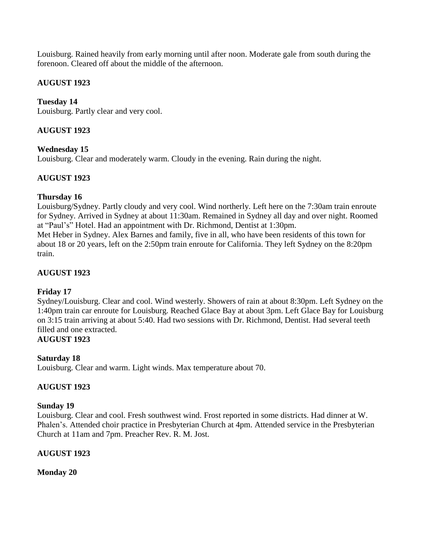Louisburg. Rained heavily from early morning until after noon. Moderate gale from south during the forenoon. Cleared off about the middle of the afternoon.

# **AUGUST 1923**

# **Tuesday 14**

Louisburg. Partly clear and very cool.

# **AUGUST 1923**

# **Wednesday 15**

Louisburg. Clear and moderately warm. Cloudy in the evening. Rain during the night.

# **AUGUST 1923**

## **Thursday 16**

Louisburg/Sydney. Partly cloudy and very cool. Wind northerly. Left here on the 7:30am train enroute for Sydney. Arrived in Sydney at about 11:30am. Remained in Sydney all day and over night. Roomed at "Paul's" Hotel. Had an appointment with Dr. Richmond, Dentist at 1:30pm. Met Heber in Sydney. Alex Barnes and family, five in all, who have been residents of this town for about 18 or 20 years, left on the 2:50pm train enroute for California. They left Sydney on the 8:20pm train.

# **AUGUST 1923**

# **Friday 17**

Sydney/Louisburg. Clear and cool. Wind westerly. Showers of rain at about 8:30pm. Left Sydney on the 1:40pm train car enroute for Louisburg. Reached Glace Bay at about 3pm. Left Glace Bay for Louisburg on 3:15 train arriving at about 5:40. Had two sessions with Dr. Richmond, Dentist. Had several teeth filled and one extracted.

# **AUGUST 1923**

# **Saturday 18**

Louisburg. Clear and warm. Light winds. Max temperature about 70.

# **AUGUST 1923**

### **Sunday 19**

Louisburg. Clear and cool. Fresh southwest wind. Frost reported in some districts. Had dinner at W. Phalen's. Attended choir practice in Presbyterian Church at 4pm. Attended service in the Presbyterian Church at 11am and 7pm. Preacher Rev. R. M. Jost.

# **AUGUST 1923**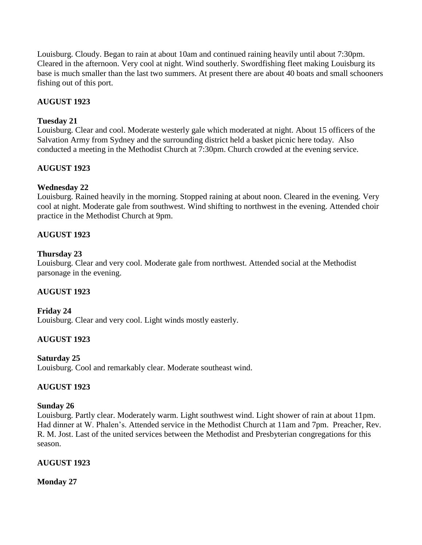Louisburg. Cloudy. Began to rain at about 10am and continued raining heavily until about 7:30pm. Cleared in the afternoon. Very cool at night. Wind southerly. Swordfishing fleet making Louisburg its base is much smaller than the last two summers. At present there are about 40 boats and small schooners fishing out of this port.

# **AUGUST 1923**

## **Tuesday 21**

Louisburg. Clear and cool. Moderate westerly gale which moderated at night. About 15 officers of the Salvation Army from Sydney and the surrounding district held a basket picnic here today. Also conducted a meeting in the Methodist Church at 7:30pm. Church crowded at the evening service.

# **AUGUST 1923**

## **Wednesday 22**

Louisburg. Rained heavily in the morning. Stopped raining at about noon. Cleared in the evening. Very cool at night. Moderate gale from southwest. Wind shifting to northwest in the evening. Attended choir practice in the Methodist Church at 9pm.

# **AUGUST 1923**

### **Thursday 23**

Louisburg. Clear and very cool. Moderate gale from northwest. Attended social at the Methodist parsonage in the evening.

# **AUGUST 1923**

**Friday 24** Louisburg. Clear and very cool. Light winds mostly easterly.

# **AUGUST 1923**

### **Saturday 25**

Louisburg. Cool and remarkably clear. Moderate southeast wind.

### **AUGUST 1923**

### **Sunday 26**

Louisburg. Partly clear. Moderately warm. Light southwest wind. Light shower of rain at about 11pm. Had dinner at W. Phalen's. Attended service in the Methodist Church at 11am and 7pm. Preacher, Rev. R. M. Jost. Last of the united services between the Methodist and Presbyterian congregations for this season.

### **AUGUST 1923**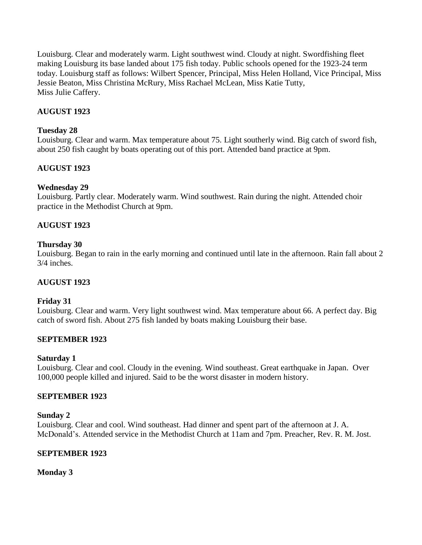Louisburg. Clear and moderately warm. Light southwest wind. Cloudy at night. Swordfishing fleet making Louisburg its base landed about 175 fish today. Public schools opened for the 1923-24 term today. Louisburg staff as follows: Wilbert Spencer, Principal, Miss Helen Holland, Vice Principal, Miss Jessie Beaton, Miss Christina McRury, Miss Rachael McLean, Miss Katie Tutty, Miss Julie Caffery.

## **AUGUST 1923**

### **Tuesday 28**

Louisburg. Clear and warm. Max temperature about 75. Light southerly wind. Big catch of sword fish, about 250 fish caught by boats operating out of this port. Attended band practice at 9pm.

### **AUGUST 1923**

### **Wednesday 29**

Louisburg. Partly clear. Moderately warm. Wind southwest. Rain during the night. Attended choir practice in the Methodist Church at 9pm.

### **AUGUST 1923**

#### **Thursday 30**

Louisburg. Began to rain in the early morning and continued until late in the afternoon. Rain fall about 2 3/4 inches.

### **AUGUST 1923**

#### **Friday 31**

Louisburg. Clear and warm. Very light southwest wind. Max temperature about 66. A perfect day. Big catch of sword fish. About 275 fish landed by boats making Louisburg their base.

#### **SEPTEMBER 1923**

#### **Saturday 1**

Louisburg. Clear and cool. Cloudy in the evening. Wind southeast. Great earthquake in Japan. Over 100,000 people killed and injured. Said to be the worst disaster in modern history.

#### **SEPTEMBER 1923**

#### **Sunday 2**

Louisburg. Clear and cool. Wind southeast. Had dinner and spent part of the afternoon at J. A. McDonald's. Attended service in the Methodist Church at 11am and 7pm. Preacher, Rev. R. M. Jost.

### **SEPTEMBER 1923**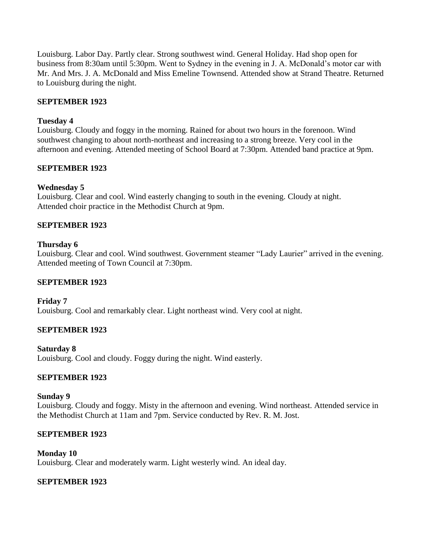Louisburg. Labor Day. Partly clear. Strong southwest wind. General Holiday. Had shop open for business from 8:30am until 5:30pm. Went to Sydney in the evening in J. A. McDonald's motor car with Mr. And Mrs. J. A. McDonald and Miss Emeline Townsend. Attended show at Strand Theatre. Returned to Louisburg during the night.

## **SEPTEMBER 1923**

### **Tuesday 4**

Louisburg. Cloudy and foggy in the morning. Rained for about two hours in the forenoon. Wind southwest changing to about north-northeast and increasing to a strong breeze. Very cool in the afternoon and evening. Attended meeting of School Board at 7:30pm. Attended band practice at 9pm.

## **SEPTEMBER 1923**

## **Wednesday 5**

Louisburg. Clear and cool. Wind easterly changing to south in the evening. Cloudy at night. Attended choir practice in the Methodist Church at 9pm.

## **SEPTEMBER 1923**

### **Thursday 6**

Louisburg. Clear and cool. Wind southwest. Government steamer "Lady Laurier" arrived in the evening. Attended meeting of Town Council at 7:30pm.

### **SEPTEMBER 1923**

**Friday 7** Louisburg. Cool and remarkably clear. Light northeast wind. Very cool at night.

### **SEPTEMBER 1923**

### **Saturday 8**

Louisburg. Cool and cloudy. Foggy during the night. Wind easterly.

### **SEPTEMBER 1923**

### **Sunday 9**

Louisburg. Cloudy and foggy. Misty in the afternoon and evening. Wind northeast. Attended service in the Methodist Church at 11am and 7pm. Service conducted by Rev. R. M. Jost.

### **SEPTEMBER 1923**

**Monday 10** Louisburg. Clear and moderately warm. Light westerly wind. An ideal day.

### **SEPTEMBER 1923**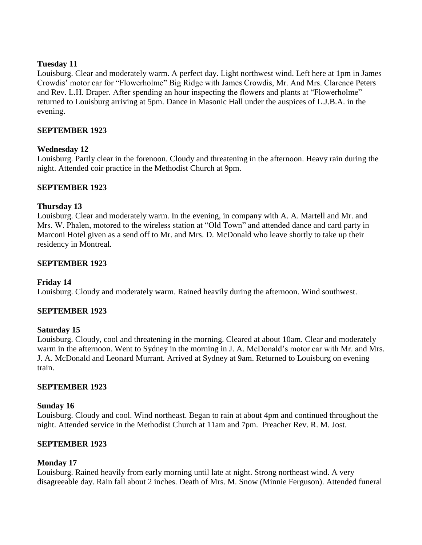## **Tuesday 11**

Louisburg. Clear and moderately warm. A perfect day. Light northwest wind. Left here at 1pm in James Crowdis' motor car for "Flowerholme" Big Ridge with James Crowdis, Mr. And Mrs. Clarence Peters and Rev. L.H. Draper. After spending an hour inspecting the flowers and plants at "Flowerholme" returned to Louisburg arriving at 5pm. Dance in Masonic Hall under the auspices of L.J.B.A. in the evening.

## **SEPTEMBER 1923**

## **Wednesday 12**

Louisburg. Partly clear in the forenoon. Cloudy and threatening in the afternoon. Heavy rain during the night. Attended coir practice in the Methodist Church at 9pm.

## **SEPTEMBER 1923**

## **Thursday 13**

Louisburg. Clear and moderately warm. In the evening, in company with A. A. Martell and Mr. and Mrs. W. Phalen, motored to the wireless station at "Old Town" and attended dance and card party in Marconi Hotel given as a send off to Mr. and Mrs. D. McDonald who leave shortly to take up their residency in Montreal.

## **SEPTEMBER 1923**

### **Friday 14**

Louisburg. Cloudy and moderately warm. Rained heavily during the afternoon. Wind southwest.

### **SEPTEMBER 1923**

### **Saturday 15**

Louisburg. Cloudy, cool and threatening in the morning. Cleared at about 10am. Clear and moderately warm in the afternoon. Went to Sydney in the morning in J. A. McDonald's motor car with Mr. and Mrs. J. A. McDonald and Leonard Murrant. Arrived at Sydney at 9am. Returned to Louisburg on evening train.

### **SEPTEMBER 1923**

### **Sunday 16**

Louisburg. Cloudy and cool. Wind northeast. Began to rain at about 4pm and continued throughout the night. Attended service in the Methodist Church at 11am and 7pm. Preacher Rev. R. M. Jost.

# **SEPTEMBER 1923**

### **Monday 17**

Louisburg. Rained heavily from early morning until late at night. Strong northeast wind. A very disagreeable day. Rain fall about 2 inches. Death of Mrs. M. Snow (Minnie Ferguson). Attended funeral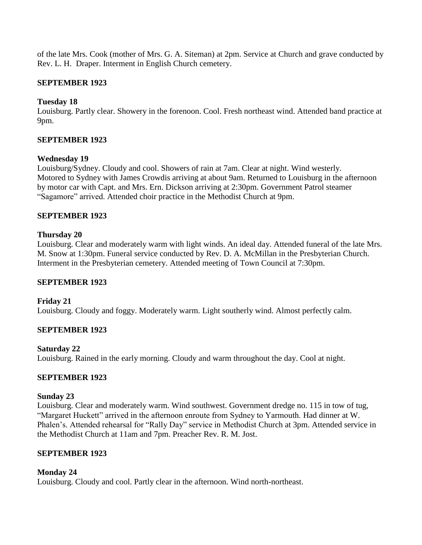of the late Mrs. Cook (mother of Mrs. G. A. Siteman) at 2pm. Service at Church and grave conducted by Rev. L. H. Draper. Interment in English Church cemetery.

## **SEPTEMBER 1923**

## **Tuesday 18**

Louisburg. Partly clear. Showery in the forenoon. Cool. Fresh northeast wind. Attended band practice at 9pm.

## **SEPTEMBER 1923**

### **Wednesday 19**

Louisburg/Sydney. Cloudy and cool. Showers of rain at 7am. Clear at night. Wind westerly. Motored to Sydney with James Crowdis arriving at about 9am. Returned to Louisburg in the afternoon by motor car with Capt. and Mrs. Ern. Dickson arriving at 2:30pm. Government Patrol steamer "Sagamore" arrived. Attended choir practice in the Methodist Church at 9pm.

## **SEPTEMBER 1923**

## **Thursday 20**

Louisburg. Clear and moderately warm with light winds. An ideal day. Attended funeral of the late Mrs. M. Snow at 1:30pm. Funeral service conducted by Rev. D. A. McMillan in the Presbyterian Church. Interment in the Presbyterian cemetery. Attended meeting of Town Council at 7:30pm.

### **SEPTEMBER 1923**

### **Friday 21**

Louisburg. Cloudy and foggy. Moderately warm. Light southerly wind. Almost perfectly calm.

# **SEPTEMBER 1923**

### **Saturday 22**

Louisburg. Rained in the early morning. Cloudy and warm throughout the day. Cool at night.

# **SEPTEMBER 1923**

### **Sunday 23**

Louisburg. Clear and moderately warm. Wind southwest. Government dredge no. 115 in tow of tug, "Margaret Huckett" arrived in the afternoon enroute from Sydney to Yarmouth. Had dinner at W. Phalen's. Attended rehearsal for "Rally Day" service in Methodist Church at 3pm. Attended service in the Methodist Church at 11am and 7pm. Preacher Rev. R. M. Jost.

# **SEPTEMBER 1923**

### **Monday 24**

Louisburg. Cloudy and cool. Partly clear in the afternoon. Wind north-northeast.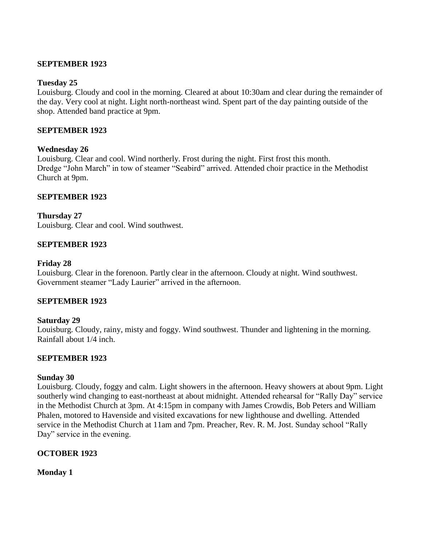### **SEPTEMBER 1923**

### **Tuesday 25**

Louisburg. Cloudy and cool in the morning. Cleared at about 10:30am and clear during the remainder of the day. Very cool at night. Light north-northeast wind. Spent part of the day painting outside of the shop. Attended band practice at 9pm.

## **SEPTEMBER 1923**

#### **Wednesday 26**

Louisburg. Clear and cool. Wind northerly. Frost during the night. First frost this month. Dredge "John March" in tow of steamer "Seabird" arrived. Attended choir practice in the Methodist Church at 9pm.

#### **SEPTEMBER 1923**

**Thursday 27** Louisburg. Clear and cool. Wind southwest.

#### **SEPTEMBER 1923**

#### **Friday 28**

Louisburg. Clear in the forenoon. Partly clear in the afternoon. Cloudy at night. Wind southwest. Government steamer "Lady Laurier" arrived in the afternoon.

#### **SEPTEMBER 1923**

#### **Saturday 29**

Louisburg. Cloudy, rainy, misty and foggy. Wind southwest. Thunder and lightening in the morning. Rainfall about 1/4 inch.

### **SEPTEMBER 1923**

#### **Sunday 30**

Louisburg. Cloudy, foggy and calm. Light showers in the afternoon. Heavy showers at about 9pm. Light southerly wind changing to east-northeast at about midnight. Attended rehearsal for "Rally Day" service in the Methodist Church at 3pm. At 4:15pm in company with James Crowdis, Bob Peters and William Phalen, motored to Havenside and visited excavations for new lighthouse and dwelling. Attended service in the Methodist Church at 11am and 7pm. Preacher, Rev. R. M. Jost. Sunday school "Rally Day" service in the evening.

### **OCTOBER 1923**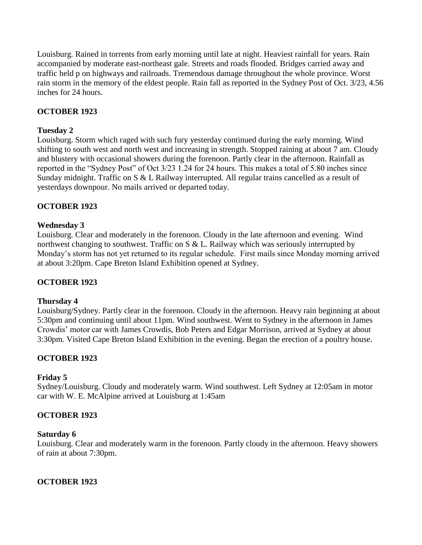Louisburg. Rained in torrents from early morning until late at night. Heaviest rainfall for years. Rain accompanied by moderate east-northeast gale. Streets and roads flooded. Bridges carried away and traffic held p on highways and railroads. Tremendous damage throughout the whole province. Worst rain storm in the memory of the eldest people. Rain fall as reported in the Sydney Post of Oct. 3/23, 4.56 inches for 24 hours.

# **OCTOBER 1923**

## **Tuesday 2**

Louisburg. Storm which raged with such fury yesterday continued during the early morning. Wind shifting to south west and north west and increasing in strength. Stopped raining at about 7 am. Cloudy and blustery with occasional showers during the forenoon. Partly clear in the afternoon. Rainfall as reported in the "Sydney Post" of Oct 3/23 1.24 for 24 hours. This makes a total of 5.80 inches since Sunday midnight. Traffic on S & L Railway interrupted. All regular trains cancelled as a result of yesterdays downpour. No mails arrived or departed today.

# **OCTOBER 1923**

# **Wednesday 3**

Louisburg. Clear and moderately in the forenoon. Cloudy in the late afternoon and evening. Wind northwest changing to southwest. Traffic on S & L. Railway which was seriously interrupted by Monday's storm has not yet returned to its regular schedule. First mails since Monday morning arrived at about 3:20pm. Cape Breton Island Exhibition opened at Sydney.

# **OCTOBER 1923**

### **Thursday 4**

Louisburg/Sydney. Partly clear in the forenoon. Cloudy in the afternoon. Heavy rain beginning at about 5:30pm and continuing until about 11pm. Wind southwest. Went to Sydney in the afternoon in James Crowdis' motor car with James Crowdis, Bob Peters and Edgar Morrison, arrived at Sydney at about 3:30pm. Visited Cape Breton Island Exhibition in the evening. Began the erection of a poultry house.

# **OCTOBER 1923**

# **Friday 5**

Sydney/Louisburg. Cloudy and moderately warm. Wind southwest. Left Sydney at 12:05am in motor car with W. E. McAlpine arrived at Louisburg at 1:45am

### **OCTOBER 1923**

### **Saturday 6**

Louisburg. Clear and moderately warm in the forenoon. Partly cloudy in the afternoon. Heavy showers of rain at about 7:30pm.

### **OCTOBER 1923**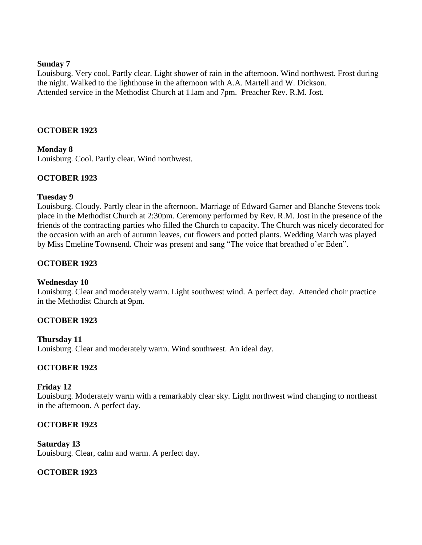#### **Sunday 7**

Louisburg. Very cool. Partly clear. Light shower of rain in the afternoon. Wind northwest. Frost during the night. Walked to the lighthouse in the afternoon with A.A. Martell and W. Dickson. Attended service in the Methodist Church at 11am and 7pm. Preacher Rev. R.M. Jost.

### **OCTOBER 1923**

### **Monday 8**

Louisburg. Cool. Partly clear. Wind northwest.

### **OCTOBER 1923**

#### **Tuesday 9**

Louisburg. Cloudy. Partly clear in the afternoon. Marriage of Edward Garner and Blanche Stevens took place in the Methodist Church at 2:30pm. Ceremony performed by Rev. R.M. Jost in the presence of the friends of the contracting parties who filled the Church to capacity. The Church was nicely decorated for the occasion with an arch of autumn leaves, cut flowers and potted plants. Wedding March was played by Miss Emeline Townsend. Choir was present and sang "The voice that breathed o'er Eden".

### **OCTOBER 1923**

### **Wednesday 10**

Louisburg. Clear and moderately warm. Light southwest wind. A perfect day. Attended choir practice in the Methodist Church at 9pm.

### **OCTOBER 1923**

### **Thursday 11**

Louisburg. Clear and moderately warm. Wind southwest. An ideal day.

### **OCTOBER 1923**

#### **Friday 12**

Louisburg. Moderately warm with a remarkably clear sky. Light northwest wind changing to northeast in the afternoon. A perfect day.

### **OCTOBER 1923**

#### **Saturday 13**

Louisburg. Clear, calm and warm. A perfect day.

### **OCTOBER 1923**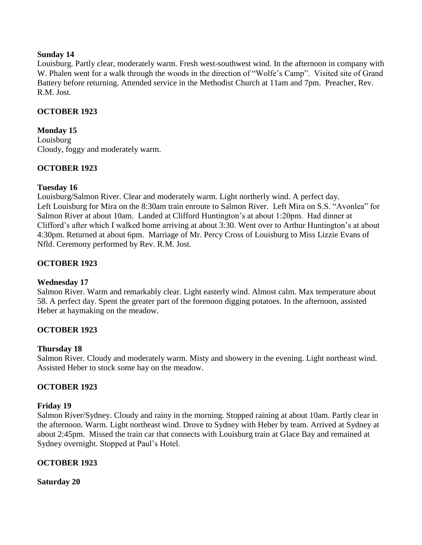### **Sunday 14**

Louisburg. Partly clear, moderately warm. Fresh west-southwest wind. In the afternoon in company with W. Phalen went for a walk through the woods in the direction of "Wolfe's Camp". Visited site of Grand Battery before returning. Attended service in the Methodist Church at 11am and 7pm. Preacher, Rev. R.M. Jost.

## **OCTOBER 1923**

### **Monday 15**

Louisburg Cloudy, foggy and moderately warm.

## **OCTOBER 1923**

## **Tuesday 16**

Louisburg/Salmon River. Clear and moderately warm. Light northerly wind. A perfect day. Left Louisburg for Mira on the 8:30am train enroute to Salmon River. Left Mira on S.S. "Avonlea" for Salmon River at about 10am. Landed at Clifford Huntington's at about 1:20pm. Had dinner at Clifford's after which I walked home arriving at about 3:30. Went over to Arthur Huntington's at about 4:30pm. Returned at about 6pm. Marriage of Mr. Percy Cross of Louisburg to Miss Lizzie Evans of Nfld. Ceremony performed by Rev. R.M. Jost.

# **OCTOBER 1923**

### **Wednesday 17**

Salmon River. Warm and remarkably clear. Light easterly wind. Almost calm. Max temperature about 58. A perfect day. Spent the greater part of the forenoon digging potatoes. In the afternoon, assisted Heber at haymaking on the meadow.

# **OCTOBER 1923**

### **Thursday 18**

Salmon River. Cloudy and moderately warm. Misty and showery in the evening. Light northeast wind. Assisted Heber to stock some hay on the meadow.

### **OCTOBER 1923**

### **Friday 19**

Salmon River/Sydney. Cloudy and rainy in the morning. Stopped raining at about 10am. Partly clear in the afternoon. Warm. Light northeast wind. Drove to Sydney with Heber by team. Arrived at Sydney at about 2:45pm. Missed the train car that connects with Louisburg train at Glace Bay and remained at Sydney overnight. Stopped at Paul's Hotel.

### **OCTOBER 1923**

**Saturday 20**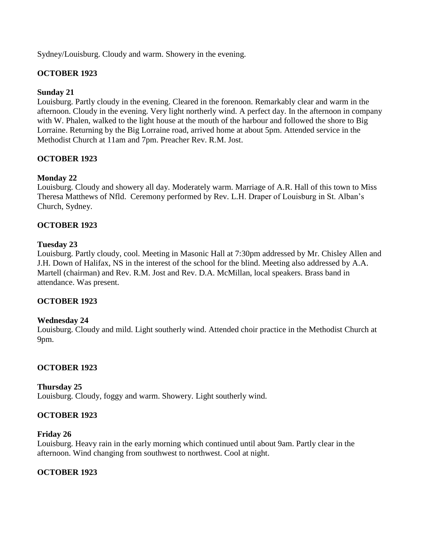Sydney/Louisburg. Cloudy and warm. Showery in the evening.

# **OCTOBER 1923**

## **Sunday 21**

Louisburg. Partly cloudy in the evening. Cleared in the forenoon. Remarkably clear and warm in the afternoon. Cloudy in the evening. Very light northerly wind. A perfect day. In the afternoon in company with W. Phalen, walked to the light house at the mouth of the harbour and followed the shore to Big Lorraine. Returning by the Big Lorraine road, arrived home at about 5pm. Attended service in the Methodist Church at 11am and 7pm. Preacher Rev. R.M. Jost.

## **OCTOBER 1923**

## **Monday 22**

Louisburg. Cloudy and showery all day. Moderately warm. Marriage of A.R. Hall of this town to Miss Theresa Matthews of Nfld. Ceremony performed by Rev. L.H. Draper of Louisburg in St. Alban's Church, Sydney.

## **OCTOBER 1923**

### **Tuesday 23**

Louisburg. Partly cloudy, cool. Meeting in Masonic Hall at 7:30pm addressed by Mr. Chisley Allen and J.H. Down of Halifax, NS in the interest of the school for the blind. Meeting also addressed by A.A. Martell (chairman) and Rev. R.M. Jost and Rev. D.A. McMillan, local speakers. Brass band in attendance. Was present.

### **OCTOBER 1923**

### **Wednesday 24**

Louisburg. Cloudy and mild. Light southerly wind. Attended choir practice in the Methodist Church at 9pm.

### **OCTOBER 1923**

### **Thursday 25**

Louisburg. Cloudy, foggy and warm. Showery. Light southerly wind.

### **OCTOBER 1923**

#### **Friday 26**

Louisburg. Heavy rain in the early morning which continued until about 9am. Partly clear in the afternoon. Wind changing from southwest to northwest. Cool at night.

### **OCTOBER 1923**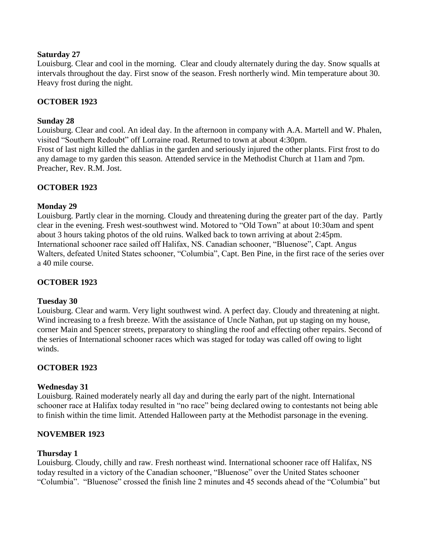### **Saturday 27**

Louisburg. Clear and cool in the morning. Clear and cloudy alternately during the day. Snow squalls at intervals throughout the day. First snow of the season. Fresh northerly wind. Min temperature about 30. Heavy frost during the night.

# **OCTOBER 1923**

### **Sunday 28**

Louisburg. Clear and cool. An ideal day. In the afternoon in company with A.A. Martell and W. Phalen, visited "Southern Redoubt" off Lorraine road. Returned to town at about 4:30pm. Frost of last night killed the dahlias in the garden and seriously injured the other plants. First frost to do any damage to my garden this season. Attended service in the Methodist Church at 11am and 7pm. Preacher, Rev. R.M. Jost.

# **OCTOBER 1923**

## **Monday 29**

Louisburg. Partly clear in the morning. Cloudy and threatening during the greater part of the day. Partly clear in the evening. Fresh west-southwest wind. Motored to "Old Town" at about 10:30am and spent about 3 hours taking photos of the old ruins. Walked back to town arriving at about 2:45pm. International schooner race sailed off Halifax, NS. Canadian schooner, "Bluenose", Capt. Angus Walters, defeated United States schooner, "Columbia", Capt. Ben Pine, in the first race of the series over a 40 mile course.

# **OCTOBER 1923**

### **Tuesday 30**

Louisburg. Clear and warm. Very light southwest wind. A perfect day. Cloudy and threatening at night. Wind increasing to a fresh breeze. With the assistance of Uncle Nathan, put up staging on my house, corner Main and Spencer streets, preparatory to shingling the roof and effecting other repairs. Second of the series of International schooner races which was staged for today was called off owing to light winds.

### **OCTOBER 1923**

### **Wednesday 31**

Louisburg. Rained moderately nearly all day and during the early part of the night. International schooner race at Halifax today resulted in "no race" being declared owing to contestants not being able to finish within the time limit. Attended Halloween party at the Methodist parsonage in the evening.

### **NOVEMBER 1923**

### **Thursday 1**

Louisburg. Cloudy, chilly and raw. Fresh northeast wind. International schooner race off Halifax, NS today resulted in a victory of the Canadian schooner, "Bluenose" over the United States schooner "Columbia". "Bluenose" crossed the finish line 2 minutes and 45 seconds ahead of the "Columbia" but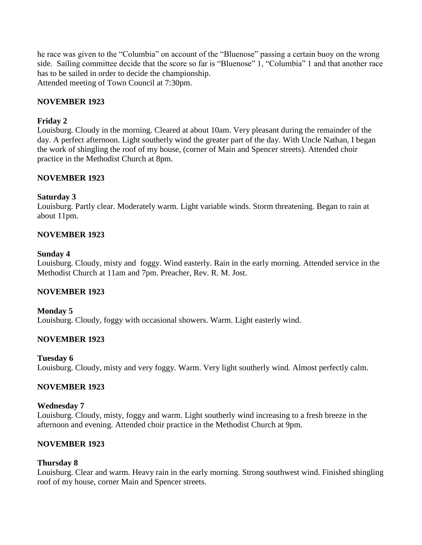he race was given to the "Columbia" on account of the "Bluenose" passing a certain buoy on the wrong side. Sailing committee decide that the score so far is "Bluenose" 1, "Columbia" 1 and that another race has to be sailed in order to decide the championship. Attended meeting of Town Council at 7:30pm.

**NOVEMBER 1923**

#### **Friday 2**

Louisburg. Cloudy in the morning. Cleared at about 10am. Very pleasant during the remainder of the day. A perfect afternoon. Light southerly wind the greater part of the day. With Uncle Nathan, I began the work of shingling the roof of my house, (corner of Main and Spencer streets). Attended choir practice in the Methodist Church at 8pm.

### **NOVEMBER 1923**

#### **Saturday 3**

Louisburg. Partly clear. Moderately warm. Light variable winds. Storm threatening. Began to rain at about 11pm.

#### **NOVEMBER 1923**

#### **Sunday 4**

Louisburg. Cloudy, misty and foggy. Wind easterly. Rain in the early morning. Attended service in the Methodist Church at 11am and 7pm. Preacher, Rev. R. M. Jost.

#### **NOVEMBER 1923**

**Monday 5** Louisburg. Cloudy, foggy with occasional showers. Warm. Light easterly wind.

#### **NOVEMBER 1923**

#### **Tuesday 6**

Louisburg. Cloudy, misty and very foggy. Warm. Very light southerly wind. Almost perfectly calm.

#### **NOVEMBER 1923**

#### **Wednesday 7**

Louisburg. Cloudy, misty, foggy and warm. Light southerly wind increasing to a fresh breeze in the afternoon and evening. Attended choir practice in the Methodist Church at 9pm.

#### **NOVEMBER 1923**

#### **Thursday 8**

Louisburg. Clear and warm. Heavy rain in the early morning. Strong southwest wind. Finished shingling roof of my house, corner Main and Spencer streets.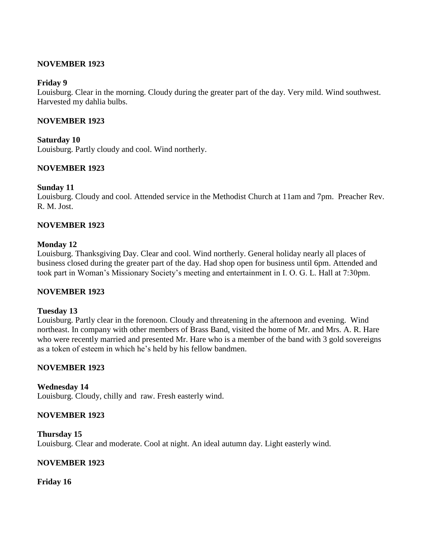### **NOVEMBER 1923**

### **Friday 9**

Louisburg. Clear in the morning. Cloudy during the greater part of the day. Very mild. Wind southwest. Harvested my dahlia bulbs.

### **NOVEMBER 1923**

**Saturday 10** Louisburg. Partly cloudy and cool. Wind northerly.

### **NOVEMBER 1923**

### **Sunday 11**

Louisburg. Cloudy and cool. Attended service in the Methodist Church at 11am and 7pm. Preacher Rev. R. M. Jost.

### **NOVEMBER 1923**

#### **Monday 12**

Louisburg. Thanksgiving Day. Clear and cool. Wind northerly. General holiday nearly all places of business closed during the greater part of the day. Had shop open for business until 6pm. Attended and took part in Woman's Missionary Society's meeting and entertainment in I. O. G. L. Hall at 7:30pm.

### **NOVEMBER 1923**

#### **Tuesday 13**

Louisburg. Partly clear in the forenoon. Cloudy and threatening in the afternoon and evening. Wind northeast. In company with other members of Brass Band, visited the home of Mr. and Mrs. A. R. Hare who were recently married and presented Mr. Hare who is a member of the band with 3 gold sovereigns as a token of esteem in which he's held by his fellow bandmen.

### **NOVEMBER 1923**

**Wednesday 14** Louisburg. Cloudy, chilly and raw. Fresh easterly wind.

#### **NOVEMBER 1923**

**Thursday 15** Louisburg. Clear and moderate. Cool at night. An ideal autumn day. Light easterly wind.

### **NOVEMBER 1923**

**Friday 16**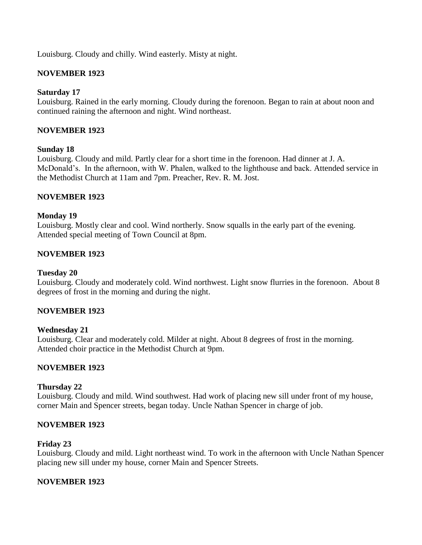Louisburg. Cloudy and chilly. Wind easterly. Misty at night.

# **NOVEMBER 1923**

## **Saturday 17**

Louisburg. Rained in the early morning. Cloudy during the forenoon. Began to rain at about noon and continued raining the afternoon and night. Wind northeast.

## **NOVEMBER 1923**

### **Sunday 18**

Louisburg. Cloudy and mild. Partly clear for a short time in the forenoon. Had dinner at J. A. McDonald's. In the afternoon, with W. Phalen, walked to the lighthouse and back. Attended service in the Methodist Church at 11am and 7pm. Preacher, Rev. R. M. Jost.

### **NOVEMBER 1923**

### **Monday 19**

Louisburg. Mostly clear and cool. Wind northerly. Snow squalls in the early part of the evening. Attended special meeting of Town Council at 8pm.

### **NOVEMBER 1923**

### **Tuesday 20**

Louisburg. Cloudy and moderately cold. Wind northwest. Light snow flurries in the forenoon. About 8 degrees of frost in the morning and during the night.

### **NOVEMBER 1923**

### **Wednesday 21**

Louisburg. Clear and moderately cold. Milder at night. About 8 degrees of frost in the morning. Attended choir practice in the Methodist Church at 9pm.

### **NOVEMBER 1923**

#### **Thursday 22**

Louisburg. Cloudy and mild. Wind southwest. Had work of placing new sill under front of my house, corner Main and Spencer streets, began today. Uncle Nathan Spencer in charge of job.

### **NOVEMBER 1923**

#### **Friday 23**

Louisburg. Cloudy and mild. Light northeast wind. To work in the afternoon with Uncle Nathan Spencer placing new sill under my house, corner Main and Spencer Streets.

### **NOVEMBER 1923**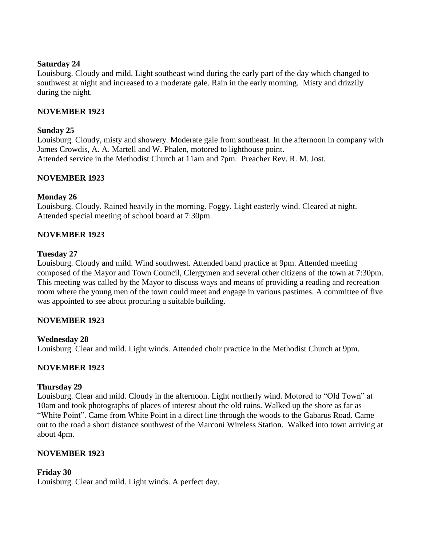## **Saturday 24**

Louisburg. Cloudy and mild. Light southeast wind during the early part of the day which changed to southwest at night and increased to a moderate gale. Rain in the early morning. Misty and drizzily during the night.

## **NOVEMBER 1923**

### **Sunday 25**

Louisburg. Cloudy, misty and showery. Moderate gale from southeast. In the afternoon in company with James Crowdis, A. A. Martell and W. Phalen, motored to lighthouse point. Attended service in the Methodist Church at 11am and 7pm. Preacher Rev. R. M. Jost.

# **NOVEMBER 1923**

## **Monday 26**

Louisburg. Cloudy. Rained heavily in the morning. Foggy. Light easterly wind. Cleared at night. Attended special meeting of school board at 7:30pm.

## **NOVEMBER 1923**

### **Tuesday 27**

Louisburg. Cloudy and mild. Wind southwest. Attended band practice at 9pm. Attended meeting composed of the Mayor and Town Council, Clergymen and several other citizens of the town at 7:30pm. This meeting was called by the Mayor to discuss ways and means of providing a reading and recreation room where the young men of the town could meet and engage in various pastimes. A committee of five was appointed to see about procuring a suitable building.

### **NOVEMBER 1923**

### **Wednesday 28**

Louisburg. Clear and mild. Light winds. Attended choir practice in the Methodist Church at 9pm.

### **NOVEMBER 1923**

### **Thursday 29**

Louisburg. Clear and mild. Cloudy in the afternoon. Light northerly wind. Motored to "Old Town" at 10am and took photographs of places of interest about the old ruins. Walked up the shore as far as "White Point". Came from White Point in a direct line through the woods to the Gabarus Road. Came out to the road a short distance southwest of the Marconi Wireless Station. Walked into town arriving at about 4pm.

### **NOVEMBER 1923**

### **Friday 30**

Louisburg. Clear and mild. Light winds. A perfect day.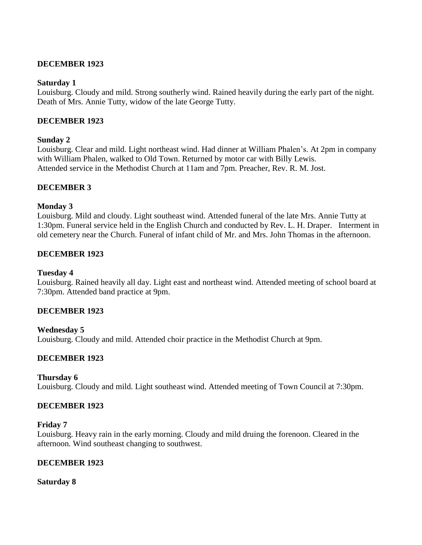#### **Saturday 1**

Louisburg. Cloudy and mild. Strong southerly wind. Rained heavily during the early part of the night. Death of Mrs. Annie Tutty, widow of the late George Tutty.

### **DECEMBER 1923**

### **Sunday 2**

Louisburg. Clear and mild. Light northeast wind. Had dinner at William Phalen's. At 2pm in company with William Phalen, walked to Old Town. Returned by motor car with Billy Lewis. Attended service in the Methodist Church at 11am and 7pm. Preacher, Rev. R. M. Jost.

### **DECEMBER 3**

#### **Monday 3**

Louisburg. Mild and cloudy. Light southeast wind. Attended funeral of the late Mrs. Annie Tutty at 1:30pm. Funeral service held in the English Church and conducted by Rev. L. H. Draper. Interment in old cemetery near the Church. Funeral of infant child of Mr. and Mrs. John Thomas in the afternoon.

### **DECEMBER 1923**

#### **Tuesday 4**

Louisburg. Rained heavily all day. Light east and northeast wind. Attended meeting of school board at 7:30pm. Attended band practice at 9pm.

### **DECEMBER 1923**

**Wednesday 5** Louisburg. Cloudy and mild. Attended choir practice in the Methodist Church at 9pm.

### **DECEMBER 1923**

#### **Thursday 6**

Louisburg. Cloudy and mild. Light southeast wind. Attended meeting of Town Council at 7:30pm.

#### **DECEMBER 1923**

#### **Friday 7**

Louisburg. Heavy rain in the early morning. Cloudy and mild druing the forenoon. Cleared in the afternoon. Wind southeast changing to southwest.

### **DECEMBER 1923**

#### **Saturday 8**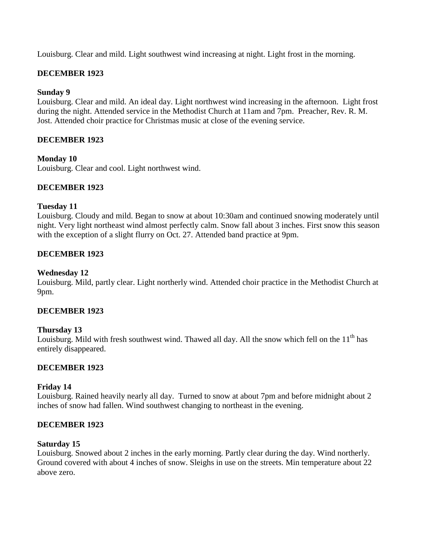Louisburg. Clear and mild. Light southwest wind increasing at night. Light frost in the morning.

# **DECEMBER 1923**

### **Sunday 9**

Louisburg. Clear and mild. An ideal day. Light northwest wind increasing in the afternoon. Light frost during the night. Attended service in the Methodist Church at 11am and 7pm. Preacher, Rev. R. M. Jost. Attended choir practice for Christmas music at close of the evening service.

## **DECEMBER 1923**

### **Monday 10**

Louisburg. Clear and cool. Light northwest wind.

# **DECEMBER 1923**

### **Tuesday 11**

Louisburg. Cloudy and mild. Began to snow at about 10:30am and continued snowing moderately until night. Very light northeast wind almost perfectly calm. Snow fall about 3 inches. First snow this season with the exception of a slight flurry on Oct. 27. Attended band practice at 9pm.

# **DECEMBER 1923**

### **Wednesday 12**

Louisburg. Mild, partly clear. Light northerly wind. Attended choir practice in the Methodist Church at 9pm.

### **DECEMBER 1923**

### **Thursday 13**

Louisburg. Mild with fresh southwest wind. Thawed all day. All the snow which fell on the  $11<sup>th</sup>$  has entirely disappeared.

### **DECEMBER 1923**

### **Friday 14**

Louisburg. Rained heavily nearly all day. Turned to snow at about 7pm and before midnight about 2 inches of snow had fallen. Wind southwest changing to northeast in the evening.

### **DECEMBER 1923**

### **Saturday 15**

Louisburg. Snowed about 2 inches in the early morning. Partly clear during the day. Wind northerly. Ground covered with about 4 inches of snow. Sleighs in use on the streets. Min temperature about 22 above zero.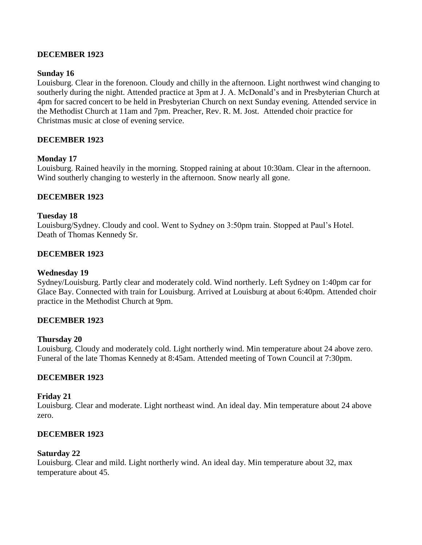### **Sunday 16**

Louisburg. Clear in the forenoon. Cloudy and chilly in the afternoon. Light northwest wind changing to southerly during the night. Attended practice at 3pm at J. A. McDonald's and in Presbyterian Church at 4pm for sacred concert to be held in Presbyterian Church on next Sunday evening. Attended service in the Methodist Church at 11am and 7pm. Preacher, Rev. R. M. Jost. Attended choir practice for Christmas music at close of evening service.

### **DECEMBER 1923**

### **Monday 17**

Louisburg. Rained heavily in the morning. Stopped raining at about 10:30am. Clear in the afternoon. Wind southerly changing to westerly in the afternoon. Snow nearly all gone.

### **DECEMBER 1923**

### **Tuesday 18**

Louisburg/Sydney. Cloudy and cool. Went to Sydney on 3:50pm train. Stopped at Paul's Hotel. Death of Thomas Kennedy Sr.

### **DECEMBER 1923**

#### **Wednesday 19**

Sydney/Louisburg. Partly clear and moderately cold. Wind northerly. Left Sydney on 1:40pm car for Glace Bay. Connected with train for Louisburg. Arrived at Louisburg at about 6:40pm. Attended choir practice in the Methodist Church at 9pm.

### **DECEMBER 1923**

### **Thursday 20**

Louisburg. Cloudy and moderately cold. Light northerly wind. Min temperature about 24 above zero. Funeral of the late Thomas Kennedy at 8:45am. Attended meeting of Town Council at 7:30pm.

### **DECEMBER 1923**

#### **Friday 21**

Louisburg. Clear and moderate. Light northeast wind. An ideal day. Min temperature about 24 above zero.

#### **DECEMBER 1923**

### **Saturday 22**

Louisburg. Clear and mild. Light northerly wind. An ideal day. Min temperature about 32, max temperature about 45.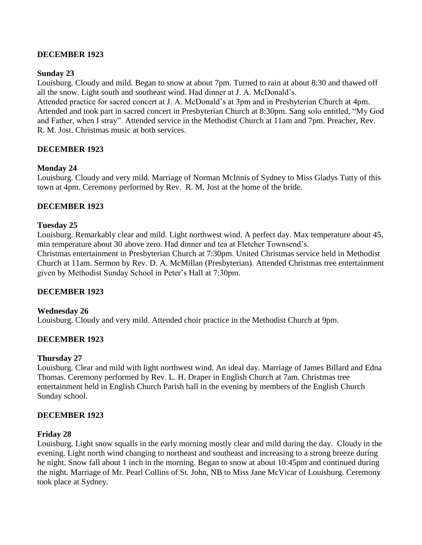### **Sunday 23**

Louisburg. Cloudy and mild. Began to snow at about 7pm. Turned to rain at about 8:30 and thawed off all the snow. Light south and southeast wind. Had dinner at J. A. McDonald's.

Attended practice for sacred concert at J. A. McDonald's at 3pm and in Presbyterian Church at 4pm. Attended and took part in sacred concert in Presbyterian Church at 8:30pm. Sang solo entitled, "My God and Father, when I stray". Attended service in the Methodist Church at 11am and 7pm. Preacher, Rev. R. M. Jost. Christmas music at both services.

### **DECEMBER 1923**

### **Monday 24**

Louisburg. Cloudy and very mild. Marriage of Norman McInnis of Sydney to Miss Gladys Tutty of this town at 4pm. Ceremony performed by Rev. R. M. Jost at the home of the bride.

## **DECEMBER 1923**

### **Tuesday 25**

Louisburg. Remarkably clear and mild. Light northwest wind. A perfect day. Max temperature about 45, min temperature about 30 above zero. Had dinner and tea at Fletcher Townsend's.

Christmas entertainment in Presbyterian Church at 7:30pm. United Christmas service held in Methodist Church at 11am. Sermon by Rev. D. A. McMillan (Presbyterian). Attended Christmas tree entertainment given by Methodist Sunday School in Peter's Hall at 7:30pm.

### **DECEMBER 1923**

### **Wednesday 26**

Louisburg. Cloudy and very mild. Attended choir practice in the Methodist Church at 9pm.

### **DECEMBER 1923**

### **Thursday 27**

Louisburg. Clear and mild with light northwest wind. An ideal day. Marriage of James Billard and Edna Thomas. Ceremony performed by Rev. L. H. Draper in English Church at 7am. Christmas tree entertainment held in English Church Parish hall in the evening by members of the English Church Sunday school.

### **DECEMBER 1923**

### **Friday 28**

Louisburg. Light snow squalls in the early morning mostly clear and mild during the day. Cloudy in the evening. Light north wind changing to northeast and southeast and increasing to a strong breeze during he night. Snow fall about 1 inch in the morning. Began to snow at about 10:45pm and continued during the night. Marriage of Mr. Pearl Collins of St. John, NB to Miss Jane McVicar of Louisburg. Ceremony took place at Sydney.